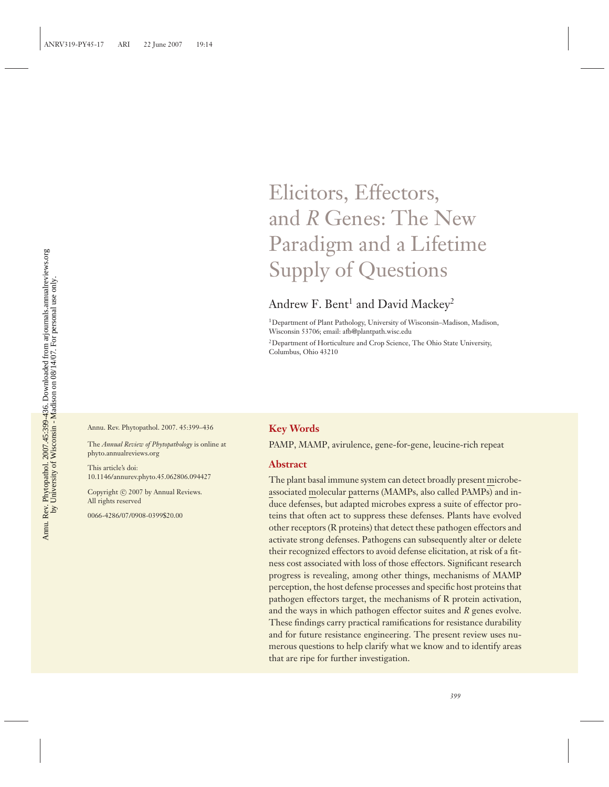## Elicitors, Effectors, and *R* Genes: The New Paradigm and a Lifetime Supply of Questions

## Andrew F. Bent<sup>1</sup> and David Mackey<sup>2</sup>

1Department of Plant Pathology, University of Wisconsin–Madison, Madison, Wisconsin 53706; email: afb@plantpath.wisc.edu

<sup>2</sup>Department of Horticulture and Crop Science, The Ohio State University, Columbus, Ohio 43210

Annu. Rev. Phytopathol. 2007. 45:399–436

The *Annual Review of Phytopathology* is online at phyto.annualreviews.org

This article's doi: 10.1146/annurev.phyto.45.062806.094427

Copyright © 2007 by Annual Reviews. All rights reserved

0066-4286/07/0908-0399\$20.00

#### **Key Words**

PAMP, MAMP, avirulence, gene-for-gene, leucine-rich repeat

#### **Abstract**

The plant basal immune system can detect broadly present microbeassociated molecular patterns (MAMPs, also called PAMPs) and induce defenses, but adapted microbes express a suite of effector proteins that often act to suppress these defenses. Plants have evolved other receptors (R proteins) that detect these pathogen effectors and activate strong defenses. Pathogens can subsequently alter or delete their recognized effectors to avoid defense elicitation, at risk of a fitness cost associated with loss of those effectors. Significant research progress is revealing, among other things, mechanisms of MAMP perception, the host defense processes and specific host proteins that pathogen effectors target, the mechanisms of R protein activation, and the ways in which pathogen effector suites and *R* genes evolve. These findings carry practical ramifications for resistance durability and for future resistance engineering. The present review uses numerous questions to help clarify what we know and to identify areas that are ripe for further investigation.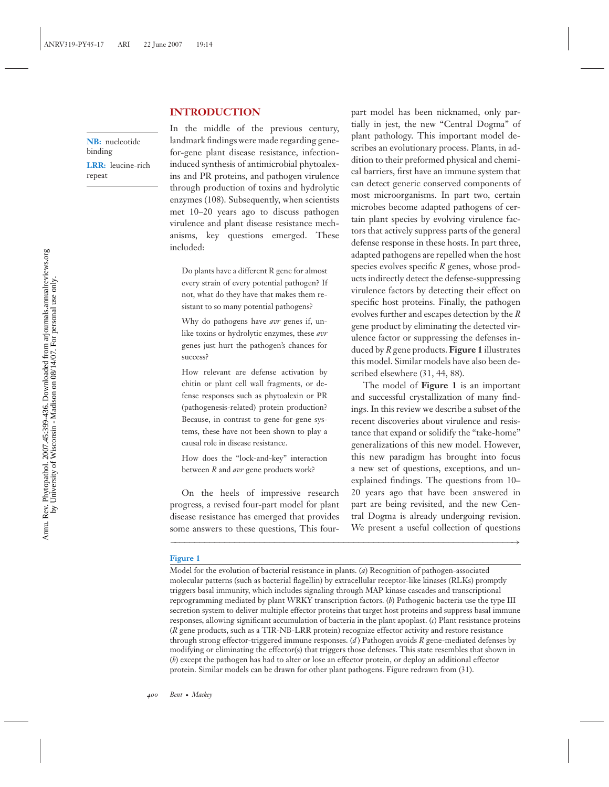#### **INTRODUCTION**

**NB:** nucleotide binding **LRR:** leucine-rich repeat

In the middle of the previous century, landmark findings were made regarding genefor-gene plant disease resistance, infectioninduced synthesis of antimicrobial phytoalexins and PR proteins, and pathogen virulence through production of toxins and hydrolytic enzymes (108). Subsequently, when scientists met 10–20 years ago to discuss pathogen virulence and plant disease resistance mechanisms, key questions emerged. These included:

Do plants have a different R gene for almost every strain of every potential pathogen? If not, what do they have that makes them resistant to so many potential pathogens?

Why do pathogens have *avr* genes if, unlike toxins or hydrolytic enzymes, these *avr* genes just hurt the pathogen's chances for success?

How relevant are defense activation by chitin or plant cell wall fragments, or defense responses such as phytoalexin or PR (pathogenesis-related) protein production? Because, in contrast to gene-for-gene systems, these have not been shown to play a causal role in disease resistance.

How does the "lock-and-key" interaction between *R* and *avr* gene products work?

On the heels of impressive research progress, a revised four-part model for plant disease resistance has emerged that provides some answers to these questions, This fourpart model has been nicknamed, only partially in jest, the new "Central Dogma" of plant pathology. This important model describes an evolutionary process. Plants, in addition to their preformed physical and chemical barriers, first have an immune system that can detect generic conserved components of most microorganisms. In part two, certain microbes become adapted pathogens of certain plant species by evolving virulence factors that actively suppress parts of the general defense response in these hosts. In part three, adapted pathogens are repelled when the host species evolves specific *R* genes, whose products indirectly detect the defense-suppressing virulence factors by detecting their effect on specific host proteins. Finally, the pathogen evolves further and escapes detection by the *R* gene product by eliminating the detected virulence factor or suppressing the defenses induced by *R* gene products. **Figure 1** illustrates this model. Similar models have also been described elsewhere (31, 44, 88).

The model of **Figure 1** is an important and successful crystallization of many findings. In this review we describe a subset of the recent discoveries about virulence and resistance that expand or solidify the "take-home" generalizations of this new model. However, this new paradigm has brought into focus a new set of questions, exceptions, and unexplained findings. The questions from 10– 20 years ago that have been answered in part are being revisited, and the new Central Dogma is already undergoing revision. We present a useful collection of questions

#### **Figure 1**

Model for the evolution of bacterial resistance in plants. (*a*) Recognition of pathogen-associated molecular patterns (such as bacterial flagellin) by extracellular receptor-like kinases (RLKs) promptly triggers basal immunity, which includes signaling through MAP kinase cascades and transcriptional reprogramming mediated by plant WRKY transcription factors. (*b*) Pathogenic bacteria use the type III secretion system to deliver multiple effector proteins that target host proteins and suppress basal immune responses, allowing significant accumulation of bacteria in the plant apoplast. (*c*) Plant resistance proteins (*R* gene products, such as a TIR-NB-LRR protein) recognize effector activity and restore resistance through strong effector-triggered immune responses. (*d* ) Pathogen avoids *R* gene-mediated defenses by modifying or eliminating the effector(s) that triggers those defenses. This state resembles that shown in (*b*) except the pathogen has had to alter or lose an effector protein, or deploy an additional effector protein. Similar models can be drawn for other plant pathogens. Figure redrawn from (31).

−−−−−−−−−−−−−−−−−−−−−−−−−−−−−−−−−−−−−−−−−−−−−−−−−−−−−−−−−−−−−−−−−−−−−→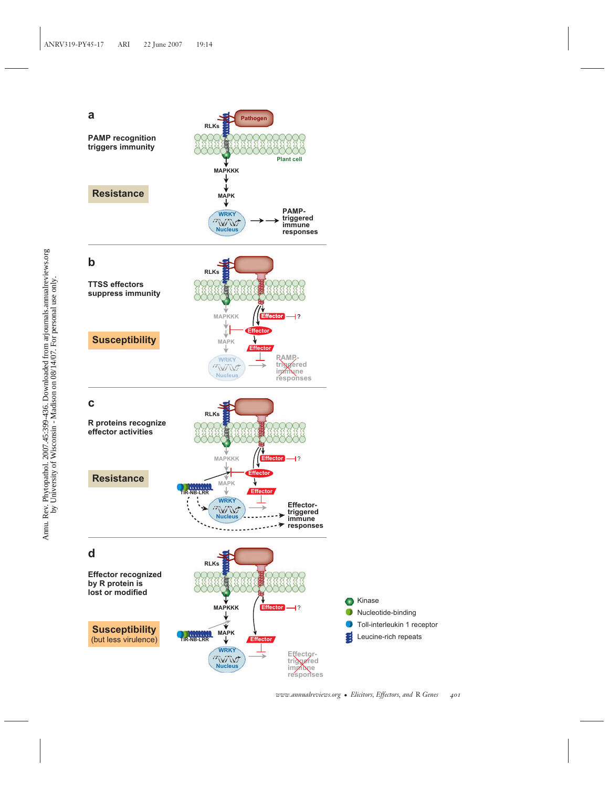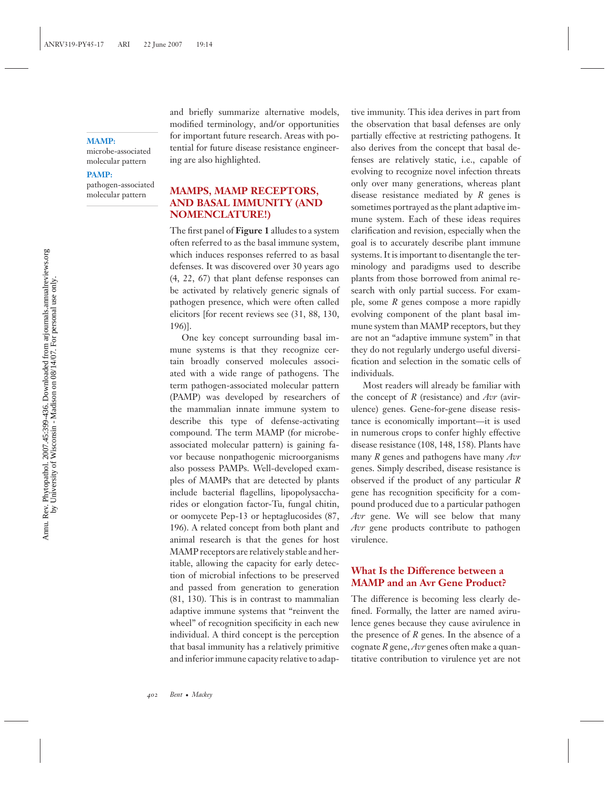#### **MAMP:**

microbe-associated molecular pattern

#### **PAMP:**

pathogen-associated molecular pattern

and briefly summarize alternative models, modified terminology, and/or opportunities for important future research. Areas with potential for future disease resistance engineering are also highlighted.

## **MAMPS, MAMP RECEPTORS, AND BASAL IMMUNITY (AND NOMENCLATURE!)**

The first panel of **Figure 1** alludes to a system often referred to as the basal immune system, which induces responses referred to as basal defenses. It was discovered over 30 years ago (4, 22, 67) that plant defense responses can be activated by relatively generic signals of pathogen presence, which were often called elicitors [for recent reviews see (31, 88, 130, 196)].

One key concept surrounding basal immune systems is that they recognize certain broadly conserved molecules associated with a wide range of pathogens. The term pathogen-associated molecular pattern (PAMP) was developed by researchers of the mammalian innate immune system to describe this type of defense-activating compound. The term MAMP (for microbeassociated molecular pattern) is gaining favor because nonpathogenic microorganisms also possess PAMPs. Well-developed examples of MAMPs that are detected by plants include bacterial flagellins, lipopolysaccharides or elongation factor-Tu, fungal chitin, or oomycete Pep-13 or heptaglucosides (87, 196). A related concept from both plant and animal research is that the genes for host MAMP receptors are relatively stable and heritable, allowing the capacity for early detection of microbial infections to be preserved and passed from generation to generation (81, 130). This is in contrast to mammalian adaptive immune systems that "reinvent the wheel" of recognition specificity in each new individual. A third concept is the perception that basal immunity has a relatively primitive and inferior immune capacity relative to adaptive immunity. This idea derives in part from the observation that basal defenses are only partially effective at restricting pathogens. It also derives from the concept that basal defenses are relatively static, i.e., capable of evolving to recognize novel infection threats only over many generations, whereas plant disease resistance mediated by *R* genes is sometimes portrayed as the plant adaptive immune system. Each of these ideas requires clarification and revision, especially when the goal is to accurately describe plant immune systems. It is important to disentangle the terminology and paradigms used to describe plants from those borrowed from animal research with only partial success. For example, some *R* genes compose a more rapidly evolving component of the plant basal immune system than MAMP receptors, but they are not an "adaptive immune system" in that they do not regularly undergo useful diversification and selection in the somatic cells of individuals.

Most readers will already be familiar with the concept of *R* (resistance) and *Avr* (avirulence) genes. Gene-for-gene disease resistance is economically important—it is used in numerous crops to confer highly effective disease resistance (108, 148, 158). Plants have many *R* genes and pathogens have many *Avr* genes. Simply described, disease resistance is observed if the product of any particular *R* gene has recognition specificity for a compound produced due to a particular pathogen *Avr* gene. We will see below that many *Avr* gene products contribute to pathogen virulence.

#### **What Is the Difference between a MAMP and an Avr Gene Product?**

The difference is becoming less clearly defined. Formally, the latter are named avirulence genes because they cause avirulence in the presence of *R* genes. In the absence of a cognate *R* gene, *Avr* genes often make a quantitative contribution to virulence yet are not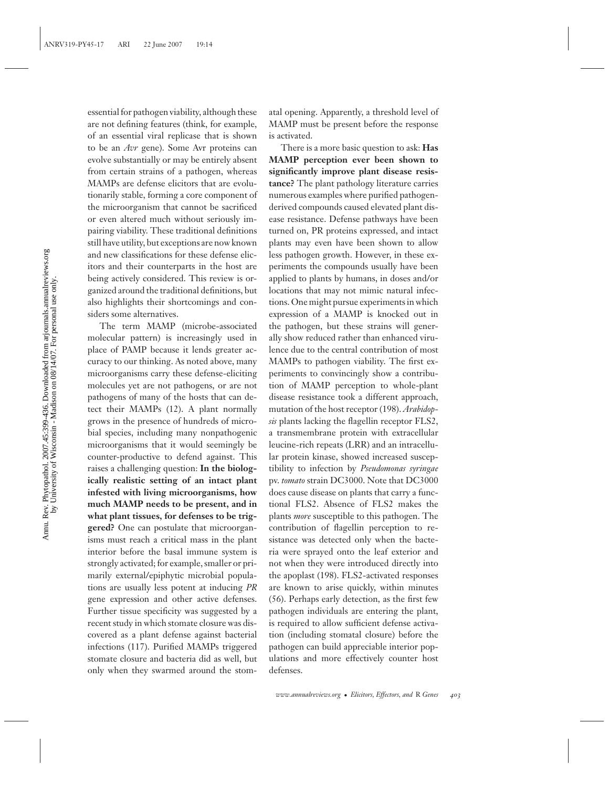essential for pathogen viability, although these are not defining features (think, for example, of an essential viral replicase that is shown to be an *Avr* gene). Some Avr proteins can evolve substantially or may be entirely absent from certain strains of a pathogen, whereas MAMPs are defense elicitors that are evolutionarily stable, forming a core component of the microorganism that cannot be sacrificed or even altered much without seriously impairing viability. These traditional definitions still have utility, but exceptions are now known and new classifications for these defense elicitors and their counterparts in the host are being actively considered. This review is organized around the traditional definitions, but also highlights their shortcomings and considers some alternatives.

The term MAMP (microbe-associated molecular pattern) is increasingly used in place of PAMP because it lends greater accuracy to our thinking. As noted above, many microorganisms carry these defense-eliciting molecules yet are not pathogens, or are not pathogens of many of the hosts that can detect their MAMPs (12). A plant normally grows in the presence of hundreds of microbial species, including many nonpathogenic microorganisms that it would seemingly be counter-productive to defend against. This raises a challenging question: **In the biologically realistic setting of an intact plant infested with living microorganisms, how much MAMP needs to be present, and in what plant tissues, for defenses to be triggered?** One can postulate that microorganisms must reach a critical mass in the plant interior before the basal immune system is strongly activated; for example, smaller or primarily external/epiphytic microbial populations are usually less potent at inducing *PR* gene expression and other active defenses. Further tissue specificity was suggested by a recent study in which stomate closure was discovered as a plant defense against bacterial infections (117). Purified MAMPs triggered stomate closure and bacteria did as well, but only when they swarmed around the stomatal opening. Apparently, a threshold level of MAMP must be present before the response is activated.

There is a more basic question to ask: **Has MAMP perception ever been shown to significantly improve plant disease resistance?** The plant pathology literature carries numerous examples where purified pathogenderived compounds caused elevated plant disease resistance. Defense pathways have been turned on, PR proteins expressed, and intact plants may even have been shown to allow less pathogen growth. However, in these experiments the compounds usually have been applied to plants by humans, in doses and/or locations that may not mimic natural infections. One might pursue experiments in which expression of a MAMP is knocked out in the pathogen, but these strains will generally show reduced rather than enhanced virulence due to the central contribution of most MAMPs to pathogen viability. The first experiments to convincingly show a contribution of MAMP perception to whole-plant disease resistance took a different approach, mutation of the host receptor (198). *Arabidopsis* plants lacking the flagellin receptor FLS2, a transmembrane protein with extracellular leucine-rich repeats (LRR) and an intracellular protein kinase, showed increased susceptibility to infection by *Pseudomonas syringae* pv. *tomato* strain DC3000. Note that DC3000 does cause disease on plants that carry a functional FLS2. Absence of FLS2 makes the plants *more* susceptible to this pathogen. The contribution of flagellin perception to resistance was detected only when the bacteria were sprayed onto the leaf exterior and not when they were introduced directly into the apoplast (198). FLS2-activated responses are known to arise quickly, within minutes (56). Perhaps early detection, as the first few pathogen individuals are entering the plant, is required to allow sufficient defense activation (including stomatal closure) before the pathogen can build appreciable interior populations and more effectively counter host defenses.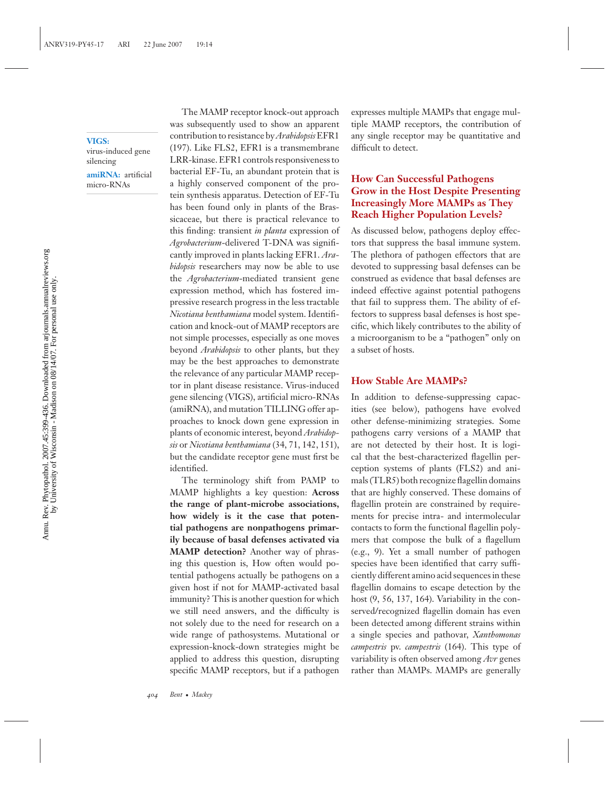#### **VIGS:**

virus-induced gene silencing

**amiRNA:** artificial micro-RNAs

The MAMP receptor knock-out approach was subsequently used to show an apparent contribution to resistance by*Arabidopsis*EFR1 (197). Like FLS2, EFR1 is a transmembrane LRR-kinase. EFR1 controls responsiveness to bacterial EF-Tu, an abundant protein that is a highly conserved component of the protein synthesis apparatus. Detection of EF-Tu has been found only in plants of the Brassicaceae, but there is practical relevance to this finding: transient *in planta* expression of *Agrobacterium*-delivered T-DNA was significantly improved in plants lacking EFR1. *Arabidopsis* researchers may now be able to use the *Agrobacterium*-mediated transient gene expression method, which has fostered impressive research progress in the less tractable *Nicotiana benthamiana* model system. Identification and knock-out of MAMP receptors are not simple processes, especially as one moves beyond *Arabidopsis* to other plants, but they may be the best approaches to demonstrate the relevance of any particular MAMP receptor in plant disease resistance. Virus-induced gene silencing (VIGS), artificial micro-RNAs (amiRNA), and mutation TILLING offer approaches to knock down gene expression in plants of economic interest, beyond *Arabidopsis* or *Nicotiana benthamiana* (34, 71, 142, 151), but the candidate receptor gene must first be identified.

The terminology shift from PAMP to MAMP highlights a key question: **Across the range of plant-microbe associations, how widely is it the case that potential pathogens are nonpathogens primarily because of basal defenses activated via MAMP detection?** Another way of phrasing this question is, How often would potential pathogens actually be pathogens on a given host if not for MAMP-activated basal immunity? This is another question for which we still need answers, and the difficulty is not solely due to the need for research on a wide range of pathosystems. Mutational or expression-knock-down strategies might be applied to address this question, disrupting specific MAMP receptors, but if a pathogen expresses multiple MAMPs that engage multiple MAMP receptors, the contribution of any single receptor may be quantitative and difficult to detect.

## **How Can Successful Pathogens Grow in the Host Despite Presenting Increasingly More MAMPs as They Reach Higher Population Levels?**

As discussed below, pathogens deploy effectors that suppress the basal immune system. The plethora of pathogen effectors that are devoted to suppressing basal defenses can be construed as evidence that basal defenses are indeed effective against potential pathogens that fail to suppress them. The ability of effectors to suppress basal defenses is host specific, which likely contributes to the ability of a microorganism to be a "pathogen" only on a subset of hosts.

#### **How Stable Are MAMPs?**

In addition to defense-suppressing capacities (see below), pathogens have evolved other defense-minimizing strategies. Some pathogens carry versions of a MAMP that are not detected by their host. It is logical that the best-characterized flagellin perception systems of plants (FLS2) and animals (TLR5) both recognize flagellin domains that are highly conserved. These domains of flagellin protein are constrained by requirements for precise intra- and intermolecular contacts to form the functional flagellin polymers that compose the bulk of a flagellum (e.g., 9). Yet a small number of pathogen species have been identified that carry sufficiently different amino acid sequences in these flagellin domains to escape detection by the host (9, 56, 137, 164). Variability in the conserved/recognized flagellin domain has even been detected among different strains within a single species and pathovar, *Xanthomonas campestris* pv. *campestris* (164). This type of variability is often observed among *Avr* genes rather than MAMPs. MAMPs are generally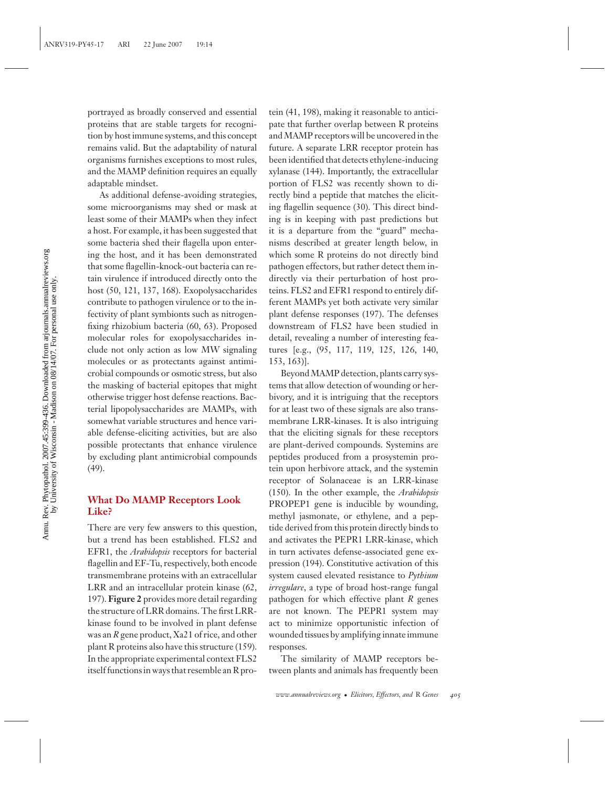Annu. Rev. Phytopathol. 2007.45:399-436. Downloaded from arjournals.annualreviews.org<br>by University of Wisconsin - Madison on 08/14/07. For personal use only. Annu. Rev. Phytopathol. 2007.45:399-436. Downloaded from arjournals.annualreviews.org by University of Wisconsin - Madison on 08/14/07. For personal use only.

portrayed as broadly conserved and essential proteins that are stable targets for recognition by host immune systems, and this concept remains valid. But the adaptability of natural organisms furnishes exceptions to most rules, and the MAMP definition requires an equally adaptable mindset.

As additional defense-avoiding strategies, some microorganisms may shed or mask at least some of their MAMPs when they infect a host. For example, it has been suggested that some bacteria shed their flagella upon entering the host, and it has been demonstrated that some flagellin-knock-out bacteria can retain virulence if introduced directly onto the host (50, 121, 137, 168). Exopolysaccharides contribute to pathogen virulence or to the infectivity of plant symbionts such as nitrogenfixing rhizobium bacteria (60, 63). Proposed molecular roles for exopolysaccharides include not only action as low MW signaling molecules or as protectants against antimicrobial compounds or osmotic stress, but also the masking of bacterial epitopes that might otherwise trigger host defense reactions. Bacterial lipopolysaccharides are MAMPs, with somewhat variable structures and hence variable defense-eliciting activities, but are also possible protectants that enhance virulence by excluding plant antimicrobial compounds (49).

## **What Do MAMP Receptors Look Like?**

There are very few answers to this question, but a trend has been established. FLS2 and EFR1, the *Arabidopsis* receptors for bacterial flagellin and EF-Tu, respectively, both encode transmembrane proteins with an extracellular LRR and an intracellular protein kinase (62, 197). **Figure 2** provides more detail regarding the structure of LRR domains. The first LRRkinase found to be involved in plant defense was an *R* gene product, Xa21 of rice, and other plant R proteins also have this structure (159). In the appropriate experimental context FLS2 itself functions in ways that resemble an R pro-

tein (41, 198), making it reasonable to anticipate that further overlap between R proteins and MAMP receptors will be uncovered in the future. A separate LRR receptor protein has been identified that detects ethylene-inducing xylanase (144). Importantly, the extracellular portion of FLS2 was recently shown to directly bind a peptide that matches the eliciting flagellin sequence (30). This direct binding is in keeping with past predictions but it is a departure from the "guard" mechanisms described at greater length below, in which some R proteins do not directly bind pathogen effectors, but rather detect them indirectly via their perturbation of host proteins. FLS2 and EFR1 respond to entirely different MAMPs yet both activate very similar plant defense responses (197). The defenses downstream of FLS2 have been studied in detail, revealing a number of interesting features [e.g., (95, 117, 119, 125, 126, 140, 153, 163)].

Beyond MAMP detection, plants carry systems that allow detection of wounding or herbivory, and it is intriguing that the receptors for at least two of these signals are also transmembrane LRR-kinases. It is also intriguing that the eliciting signals for these receptors are plant-derived compounds. Systemins are peptides produced from a prosystemin protein upon herbivore attack, and the systemin receptor of Solanaceae is an LRR-kinase (150). In the other example, the *Arabidopsis* PROPEP1 gene is inducible by wounding, methyl jasmonate, or ethylene, and a peptide derived from this protein directly binds to and activates the PEPR1 LRR-kinase, which in turn activates defense-associated gene expression (194). Constitutive activation of this system caused elevated resistance to *Pythium irregulare*, a type of broad host-range fungal pathogen for which effective plant *R* genes are not known. The PEPR1 system may act to minimize opportunistic infection of wounded tissues by amplifying innate immune responses.

The similarity of MAMP receptors between plants and animals has frequently been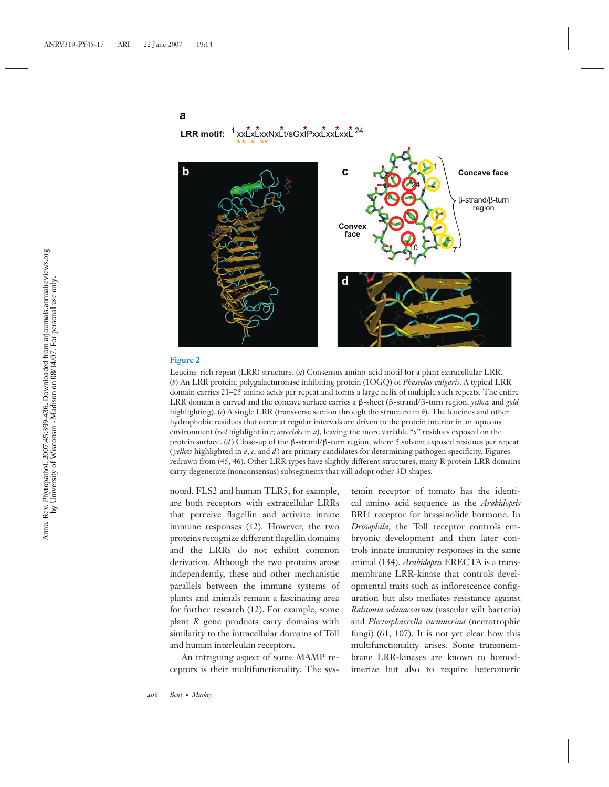#### **a**

**LRR motif:**  $\frac{1}{2}$ xxLxLxxNxLt/sGxIPxxLxxLxL  $\frac{1}{2}$ <sup>24</sup>



#### **Figure 2**

Leucine-rich repeat (LRR) structure. (*a*) Consensus amino-acid motif for a plant extracellular LRR. (*b*) An LRR protein; polygalacturonase inhibiting protein (1OGQ) of *Phaseolus vulgaris*. A typical LRR domain carries 21–25 amino acids per repeat and forms a large helix of multiple such repeats. The entire LRR domain is curved and the concave surface carries a β-sheet (β-strand/β-turn region, *yellow* and *gold* highlighting). (*c*) A single LRR (transverse section through the structure in *b*). The leucines and other hydrophobic residues that occur at regular intervals are driven to the protein interior in an aqueous environment (*red* highlight in *c*; *asterisks* in *a*), leaving the more variable "x" residues exposed on the protein surface. (*d* ) Close-up of the β-strand/β-turn region, where 5 solvent exposed residues per repeat ( *yellow* highlighted in *a*, *c*, and *d* ) are primary candidates for determining pathogen specificity. Figures redrawn from (45, 46). Other LRR types have slightly different structures; many R protein LRR domains carry degenerate (nonconsensus) subsegments that will adopt other 3D shapes.

noted. FLS2 and human TLR5, for example, are both receptors with extracellular LRRs that perceive flagellin and activate innate immune responses (12). However, the two proteins recognize different flagellin domains and the LRRs do not exhibit common derivation. Although the two proteins arose independently, these and other mechanistic parallels between the immune systems of plants and animals remain a fascinating area for further research (12). For example, some plant *R* gene products carry domains with similarity to the intracellular domains of Toll and human interleukin receptors.

An intriguing aspect of some MAMP receptors is their multifunctionality. The sys-

temin receptor of tomato has the identical amino acid sequence as the *Arabidopsis* BRI1 receptor for brassinolide hormone. In *Drosophila*, the Toll receptor controls embryonic development and then later controls innate immunity responses in the same animal (134). *Arabidopsis* ERECTA is a transmembrane LRR-kinase that controls developmental traits such as inflorescence configuration but also mediates resistance against *Ralstonia solanacearum* (vascular wilt bacteria) and *Plectosphaerella cucumerina* (necrotrophic fungi) (61, 107). It is not yet clear how this multifunctionality arises. Some transmembrane LRR-kinases are known to homodimerize but also to require heteromeric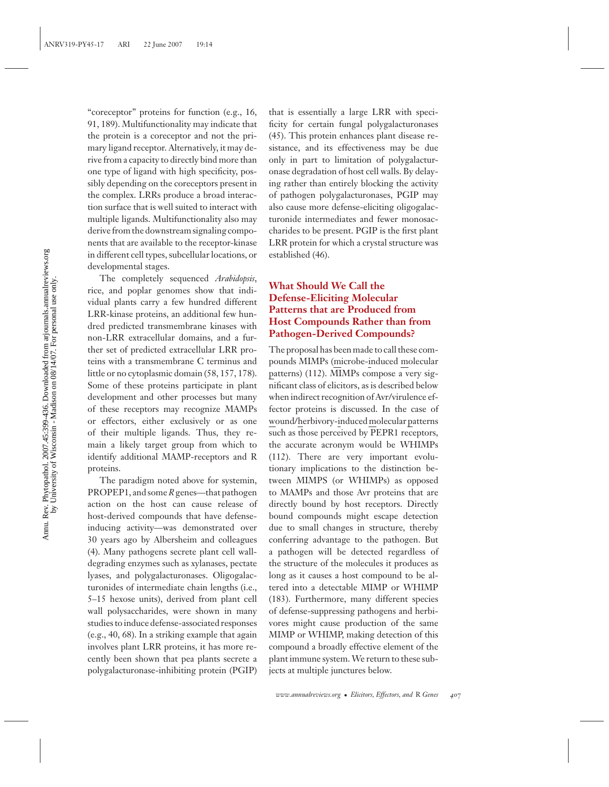"coreceptor" proteins for function (e.g., 16, 91, 189). Multifunctionality may indicate that the protein is a coreceptor and not the primary ligand receptor. Alternatively, it may derive from a capacity to directly bind more than one type of ligand with high specificity, possibly depending on the coreceptors present in the complex. LRRs produce a broad interaction surface that is well suited to interact with multiple ligands. Multifunctionality also may derive from the downstream signaling components that are available to the receptor-kinase in different cell types, subcellular locations, or developmental stages.

The completely sequenced *Arabidopsis*, rice, and poplar genomes show that individual plants carry a few hundred different LRR-kinase proteins, an additional few hundred predicted transmembrane kinases with non-LRR extracellular domains, and a further set of predicted extracellular LRR proteins with a transmembrane C terminus and little or no cytoplasmic domain (58, 157, 178). Some of these proteins participate in plant development and other processes but many of these receptors may recognize MAMPs or effectors, either exclusively or as one of their multiple ligands. Thus, they remain a likely target group from which to identify additional MAMP-receptors and R proteins.

The paradigm noted above for systemin, PROPEP1, and some*R*genes—that pathogen action on the host can cause release of host-derived compounds that have defenseinducing activity—was demonstrated over 30 years ago by Albersheim and colleagues (4). Many pathogens secrete plant cell walldegrading enzymes such as xylanases, pectate lyases, and polygalacturonases. Oligogalacturonides of intermediate chain lengths (i.e., 5–15 hexose units), derived from plant cell wall polysaccharides, were shown in many studies to induce defense-associated responses (e.g., 40, 68). In a striking example that again involves plant LRR proteins, it has more recently been shown that pea plants secrete a polygalacturonase-inhibiting protein (PGIP)

that is essentially a large LRR with specificity for certain fungal polygalacturonases (45). This protein enhances plant disease resistance, and its effectiveness may be due only in part to limitation of polygalacturonase degradation of host cell walls. By delaying rather than entirely blocking the activity of pathogen polygalacturonases, PGIP may also cause more defense-eliciting oligogalacturonide intermediates and fewer monosaccharides to be present. PGIP is the first plant LRR protein for which a crystal structure was established (46).

## **What Should We Call the Defense-Eliciting Molecular Patterns that are Produced from Host Compounds Rather than from Pathogen-Derived Compounds?**

The proposal has been made to call these compounds MIMPs (microbe-induced molecular patterns) (112). MIMPs compose a very significant class of elicitors, as is described below when indirect recognition of Avr/virulence effector proteins is discussed. In the case of wound/herbivory-induced molecular patterns such as those perceived by PEPR1 receptors, the accurate acronym would be WHIMPs (112). There are very important evolutionary implications to the distinction between MIMPS (or WHIMPs) as opposed to MAMPs and those Avr proteins that are directly bound by host receptors. Directly bound compounds might escape detection due to small changes in structure, thereby conferring advantage to the pathogen. But a pathogen will be detected regardless of the structure of the molecules it produces as long as it causes a host compound to be altered into a detectable MIMP or WHIMP (183). Furthermore, many different species of defense-suppressing pathogens and herbivores might cause production of the same MIMP or WHIMP, making detection of this compound a broadly effective element of the plant immune system. We return to these subjects at multiple junctures below.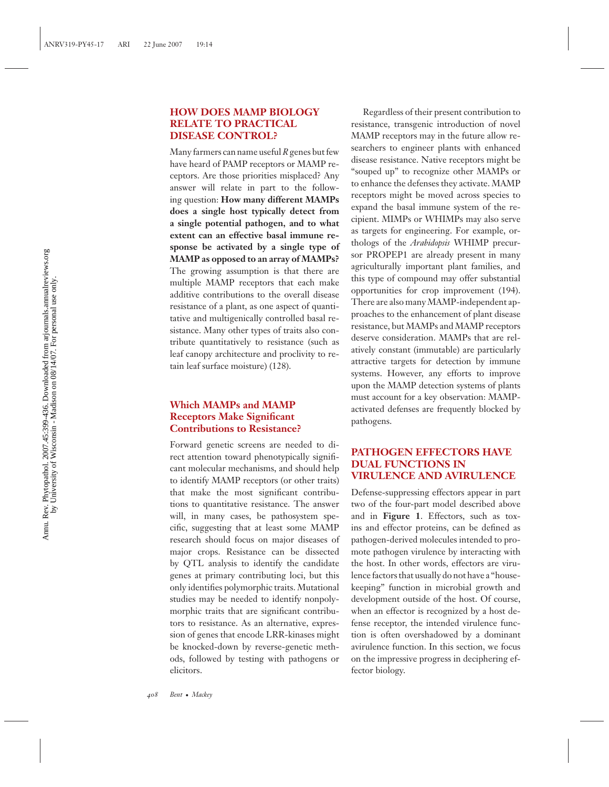#### **HOW DOES MAMP BIOLOGY RELATE TO PRACTICAL DISEASE CONTROL?**

Many farmers can name useful*R*genes but few have heard of PAMP receptors or MAMP receptors. Are those priorities misplaced? Any answer will relate in part to the following question: **How many different MAMPs does a single host typically detect from a single potential pathogen, and to what extent can an effective basal immune response be activated by a single type of MAMP as opposed to an array of MAMPs?** The growing assumption is that there are multiple MAMP receptors that each make additive contributions to the overall disease resistance of a plant, as one aspect of quantitative and multigenically controlled basal resistance. Many other types of traits also contribute quantitatively to resistance (such as leaf canopy architecture and proclivity to retain leaf surface moisture) (128).

## **Which MAMPs and MAMP Receptors Make Significant Contributions to Resistance?**

Forward genetic screens are needed to direct attention toward phenotypically significant molecular mechanisms, and should help to identify MAMP receptors (or other traits) that make the most significant contributions to quantitative resistance. The answer will, in many cases, be pathosystem specific, suggesting that at least some MAMP research should focus on major diseases of major crops. Resistance can be dissected by QTL analysis to identify the candidate genes at primary contributing loci, but this only identifies polymorphic traits. Mutational studies may be needed to identify nonpolymorphic traits that are significant contributors to resistance. As an alternative, expression of genes that encode LRR-kinases might be knocked-down by reverse-genetic methods, followed by testing with pathogens or elicitors.

Regardless of their present contribution to resistance, transgenic introduction of novel MAMP receptors may in the future allow researchers to engineer plants with enhanced disease resistance. Native receptors might be "souped up" to recognize other MAMPs or to enhance the defenses they activate. MAMP receptors might be moved across species to expand the basal immune system of the recipient. MIMPs or WHIMPs may also serve as targets for engineering. For example, orthologs of the *Arabidopsis* WHIMP precursor PROPEP1 are already present in many agriculturally important plant families, and this type of compound may offer substantial opportunities for crop improvement (194). There are also many MAMP-independent approaches to the enhancement of plant disease resistance, but MAMPs and MAMP receptors deserve consideration. MAMPs that are relatively constant (immutable) are particularly attractive targets for detection by immune systems. However, any efforts to improve upon the MAMP detection systems of plants must account for a key observation: MAMPactivated defenses are frequently blocked by pathogens.

#### **PATHOGEN EFFECTORS HAVE DUAL FUNCTIONS IN VIRULENCE AND AVIRULENCE**

Defense-suppressing effectors appear in part two of the four-part model described above and in **Figure 1**. Effectors, such as toxins and effector proteins, can be defined as pathogen-derived molecules intended to promote pathogen virulence by interacting with the host. In other words, effectors are virulence factors that usually do not have a "housekeeping" function in microbial growth and development outside of the host. Of course, when an effector is recognized by a host defense receptor, the intended virulence function is often overshadowed by a dominant avirulence function. In this section, we focus on the impressive progress in deciphering effector biology.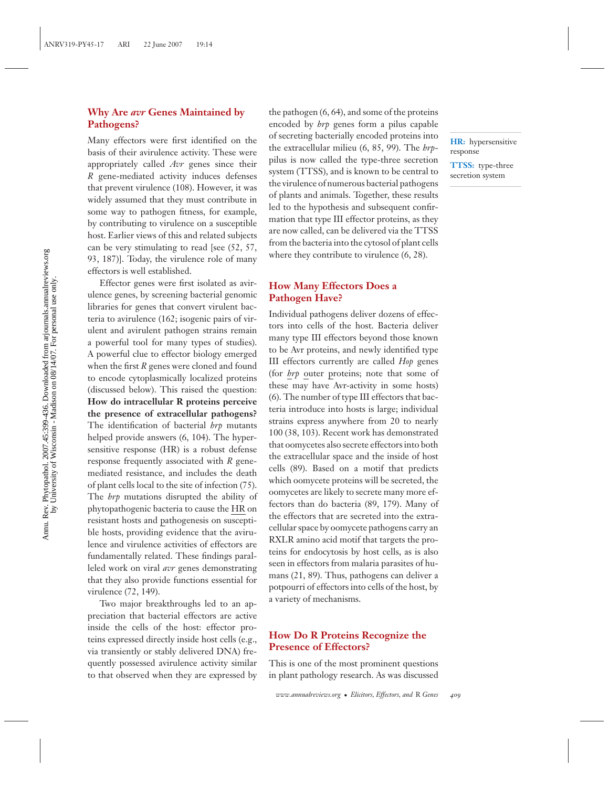#### **Why Are** *avr* **Genes Maintained by Pathogens?**

Many effectors were first identified on the basis of their avirulence activity. These were appropriately called *Avr* genes since their *R* gene-mediated activity induces defenses that prevent virulence (108). However, it was widely assumed that they must contribute in some way to pathogen fitness, for example, by contributing to virulence on a susceptible host. Earlier views of this and related subjects can be very stimulating to read [see (52, 57, 93, 187)]. Today, the virulence role of many effectors is well established.

Effector genes were first isolated as avirulence genes, by screening bacterial genomic libraries for genes that convert virulent bacteria to avirulence (162; isogenic pairs of virulent and avirulent pathogen strains remain a powerful tool for many types of studies). A powerful clue to effector biology emerged when the first *R* genes were cloned and found to encode cytoplasmically localized proteins (discussed below). This raised the question: **How do intracellular R proteins perceive the presence of extracellular pathogens?** The identification of bacterial *hrp* mutants helped provide answers (6, 104). The hypersensitive response (HR) is a robust defense response frequently associated with *R* genemediated resistance, and includes the death of plant cells local to the site of infection (75). The *hrp* mutations disrupted the ability of phytopathogenic bacteria to cause the HR on resistant hosts and pathogenesis on susceptible hosts, providing evidence that the avirulence and virulence activities of effectors are fundamentally related. These findings paralleled work on viral *avr* genes demonstrating that they also provide functions essential for virulence (72, 149).

Two major breakthroughs led to an appreciation that bacterial effectors are active inside the cells of the host: effector proteins expressed directly inside host cells (e.g., via transiently or stably delivered DNA) frequently possessed avirulence activity similar to that observed when they are expressed by the pathogen (6, 64), and some of the proteins encoded by *hrp* genes form a pilus capable of secreting bacterially encoded proteins into the extracellular milieu (6, 85, 99). The *hrp*pilus is now called the type-three secretion system (TTSS), and is known to be central to the virulence of numerous bacterial pathogens of plants and animals. Together, these results led to the hypothesis and subsequent confirmation that type III effector proteins, as they are now called, can be delivered via the TTSS from the bacteria into the cytosol of plant cells where they contribute to virulence  $(6, 28)$ .

**HR:** hypersensitive

**TTSS:** type-three secretion system

response

#### **How Many Effectors Does a Pathogen Have?**

Individual pathogens deliver dozens of effectors into cells of the host. Bacteria deliver many type III effectors beyond those known to be Avr proteins, and newly identified type III effectors currently are called *Hop* genes (for *hrp* outer proteins; note that some of these may have Avr-activity in some hosts) (6). The number of type III effectors that bacteria introduce into hosts is large; individual strains express anywhere from 20 to nearly 100 (38, 103). Recent work has demonstrated that oomycetes also secrete effectors into both the extracellular space and the inside of host cells (89). Based on a motif that predicts which oomycete proteins will be secreted, the oomycetes are likely to secrete many more effectors than do bacteria (89, 179). Many of the effectors that are secreted into the extracellular space by oomycete pathogens carry an RXLR amino acid motif that targets the proteins for endocytosis by host cells, as is also seen in effectors from malaria parasites of humans (21, 89). Thus, pathogens can deliver a potpourri of effectors into cells of the host, by a variety of mechanisms.

#### **How Do R Proteins Recognize the Presence of Effectors?**

This is one of the most prominent questions in plant pathology research. As was discussed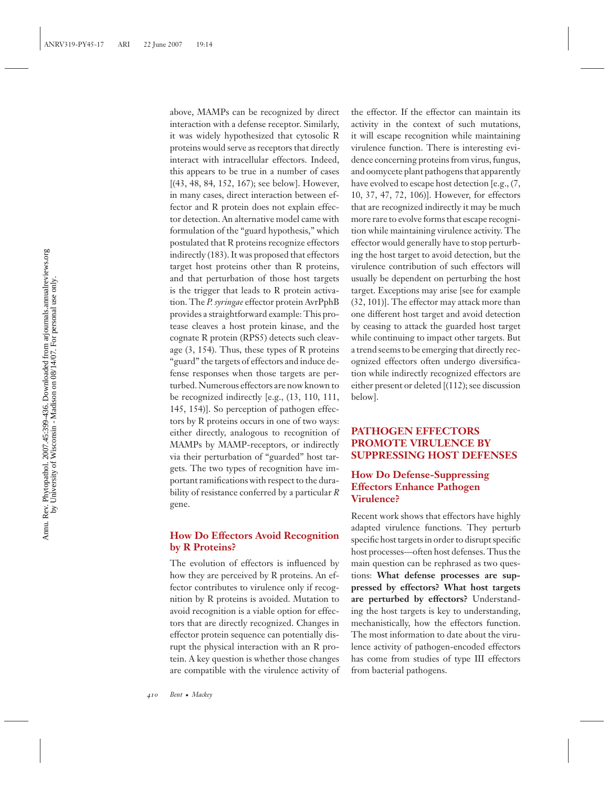above, MAMPs can be recognized by direct interaction with a defense receptor. Similarly, it was widely hypothesized that cytosolic R proteins would serve as receptors that directly interact with intracellular effectors. Indeed, this appears to be true in a number of cases [(43, 48, 84, 152, 167); see below]. However, in many cases, direct interaction between effector and R protein does not explain effector detection. An alternative model came with formulation of the "guard hypothesis," which postulated that R proteins recognize effectors indirectly (183). It was proposed that effectors target host proteins other than R proteins, and that perturbation of those host targets is the trigger that leads to R protein activation. The *P. syringae* effector protein AvrPphB provides a straightforward example: This protease cleaves a host protein kinase, and the cognate R protein (RPS5) detects such cleavage (3, 154). Thus, these types of R proteins "guard" the targets of effectors and induce defense responses when those targets are perturbed. Numerous effectors are now known to be recognized indirectly [e.g., (13, 110, 111, 145, 154)]. So perception of pathogen effectors by R proteins occurs in one of two ways: either directly, analogous to recognition of MAMPs by MAMP-receptors, or indirectly via their perturbation of "guarded" host targets. The two types of recognition have important ramifications with respect to the durability of resistance conferred by a particular *R* gene.

#### **How Do Effectors Avoid Recognition by R Proteins?**

The evolution of effectors is influenced by how they are perceived by R proteins. An effector contributes to virulence only if recognition by R proteins is avoided. Mutation to avoid recognition is a viable option for effectors that are directly recognized. Changes in effector protein sequence can potentially disrupt the physical interaction with an R protein. A key question is whether those changes are compatible with the virulence activity of the effector. If the effector can maintain its activity in the context of such mutations, it will escape recognition while maintaining virulence function. There is interesting evidence concerning proteins from virus, fungus, and oomycete plant pathogens that apparently have evolved to escape host detection [e.g., (7, 10, 37, 47, 72, 106)]. However, for effectors that are recognized indirectly it may be much more rare to evolve forms that escape recognition while maintaining virulence activity. The effector would generally have to stop perturbing the host target to avoid detection, but the virulence contribution of such effectors will usually be dependent on perturbing the host target. Exceptions may arise [see for example (32, 101)]. The effector may attack more than one different host target and avoid detection by ceasing to attack the guarded host target while continuing to impact other targets. But a trend seems to be emerging that directly recognized effectors often undergo diversification while indirectly recognized effectors are either present or deleted [(112); see discussion below].

## **PATHOGEN EFFECTORS PROMOTE VIRULENCE BY SUPPRESSING HOST DEFENSES**

#### **How Do Defense-Suppressing Effectors Enhance Pathogen Virulence?**

Recent work shows that effectors have highly adapted virulence functions. They perturb specific host targets in order to disrupt specific host processes—often host defenses. Thus the main question can be rephrased as two questions: **What defense processes are suppressed by effectors? What host targets are perturbed by effectors?** Understanding the host targets is key to understanding, mechanistically, how the effectors function. The most information to date about the virulence activity of pathogen-encoded effectors has come from studies of type III effectors from bacterial pathogens.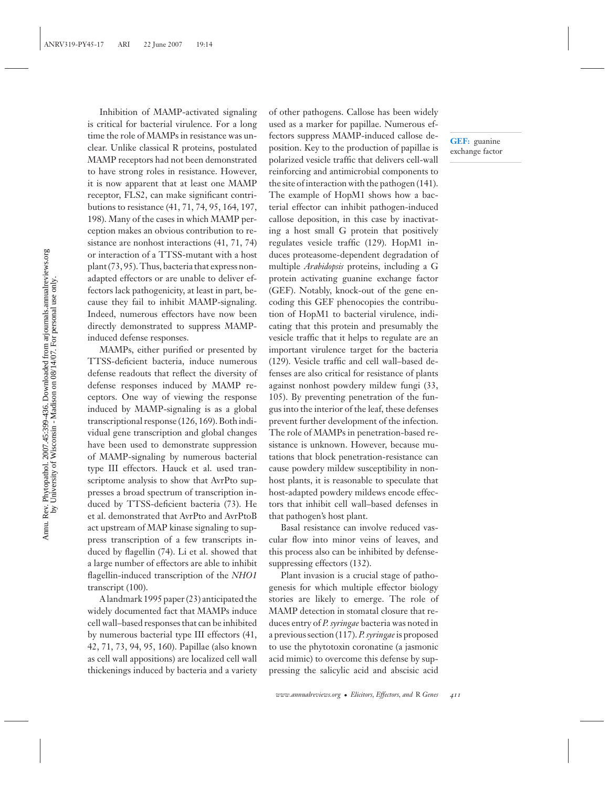Inhibition of MAMP-activated signaling is critical for bacterial virulence. For a long time the role of MAMPs in resistance was unclear. Unlike classical R proteins, postulated MAMP receptors had not been demonstrated to have strong roles in resistance. However, it is now apparent that at least one MAMP receptor, FLS2, can make significant contributions to resistance (41, 71, 74, 95, 164, 197, 198). Many of the cases in which MAMP perception makes an obvious contribution to resistance are nonhost interactions (41, 71, 74) or interaction of a TTSS-mutant with a host plant (73, 95). Thus, bacteria that express nonadapted effectors or are unable to deliver effectors lack pathogenicity, at least in part, because they fail to inhibit MAMP-signaling. Indeed, numerous effectors have now been directly demonstrated to suppress MAMPinduced defense responses.

MAMPs, either purified or presented by TTSS-deficient bacteria, induce numerous defense readouts that reflect the diversity of defense responses induced by MAMP receptors. One way of viewing the response induced by MAMP-signaling is as a global transcriptional response (126, 169). Both individual gene transcription and global changes have been used to demonstrate suppression of MAMP-signaling by numerous bacterial type III effectors. Hauck et al. used transcriptome analysis to show that AvrPto suppresses a broad spectrum of transcription induced by TTSS-deficient bacteria (73). He et al. demonstrated that AvrPto and AvrPtoB act upstream of MAP kinase signaling to suppress transcription of a few transcripts induced by flagellin (74). Li et al. showed that a large number of effectors are able to inhibit flagellin-induced transcription of the *NHO1* transcript (100).

A landmark 1995 paper (23) anticipated the widely documented fact that MAMPs induce cell wall–based responses that can be inhibited by numerous bacterial type III effectors (41, 42, 71, 73, 94, 95, 160). Papillae (also known as cell wall appositions) are localized cell wall thickenings induced by bacteria and a variety of other pathogens. Callose has been widely used as a marker for papillae. Numerous effectors suppress MAMP-induced callose deposition. Key to the production of papillae is polarized vesicle traffic that delivers cell-wall reinforcing and antimicrobial components to the site of interaction with the pathogen (141). The example of HopM1 shows how a bacterial effector can inhibit pathogen-induced callose deposition, in this case by inactivating a host small G protein that positively regulates vesicle traffic (129). HopM1 induces proteasome-dependent degradation of multiple *Arabidopsis* proteins, including a G protein activating guanine exchange factor (GEF). Notably, knock-out of the gene encoding this GEF phenocopies the contribution of HopM1 to bacterial virulence, indicating that this protein and presumably the vesicle traffic that it helps to regulate are an important virulence target for the bacteria (129). Vesicle traffic and cell wall–based defenses are also critical for resistance of plants against nonhost powdery mildew fungi (33, 105). By preventing penetration of the fungus into the interior of the leaf, these defenses prevent further development of the infection. The role of MAMPs in penetration-based resistance is unknown. However, because mutations that block penetration-resistance can cause powdery mildew susceptibility in nonhost plants, it is reasonable to speculate that host-adapted powdery mildews encode effectors that inhibit cell wall–based defenses in that pathogen's host plant.

Basal resistance can involve reduced vascular flow into minor veins of leaves, and this process also can be inhibited by defensesuppressing effectors (132).

Plant invasion is a crucial stage of pathogenesis for which multiple effector biology stories are likely to emerge. The role of MAMP detection in stomatal closure that reduces entry of *P. syringae* bacteria was noted in a previous section (117). *P. syringae*is proposed to use the phytotoxin coronatine (a jasmonic acid mimic) to overcome this defense by suppressing the salicylic acid and abscisic acid

**GEF:** guanine exchange factor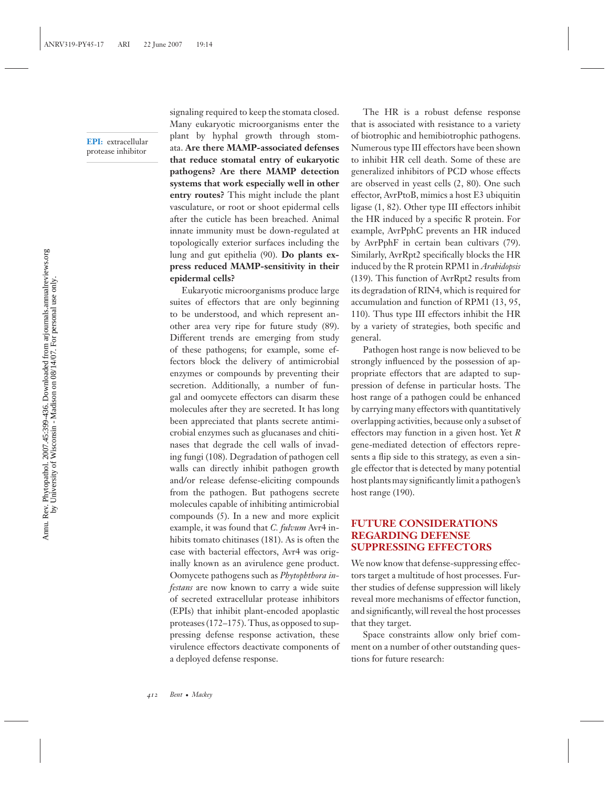**EPI:** extracellular protease inhibitor

signaling required to keep the stomata closed. Many eukaryotic microorganisms enter the plant by hyphal growth through stomata. **Are there MAMP-associated defenses that reduce stomatal entry of eukaryotic pathogens? Are there MAMP detection systems that work especially well in other entry routes?** This might include the plant vasculature, or root or shoot epidermal cells after the cuticle has been breached. Animal innate immunity must be down-regulated at topologically exterior surfaces including the lung and gut epithelia (90). **Do plants express reduced MAMP-sensitivity in their epidermal cells?**

Eukaryotic microorganisms produce large suites of effectors that are only beginning to be understood, and which represent another area very ripe for future study (89). Different trends are emerging from study of these pathogens; for example, some effectors block the delivery of antimicrobial enzymes or compounds by preventing their secretion. Additionally, a number of fungal and oomycete effectors can disarm these molecules after they are secreted. It has long been appreciated that plants secrete antimicrobial enzymes such as glucanases and chitinases that degrade the cell walls of invading fungi (108). Degradation of pathogen cell walls can directly inhibit pathogen growth and/or release defense-eliciting compounds from the pathogen. But pathogens secrete molecules capable of inhibiting antimicrobial compounds (5). In a new and more explicit example, it was found that *C. fulvum* Avr4 inhibits tomato chitinases (181). As is often the case with bacterial effectors, Avr4 was originally known as an avirulence gene product. Oomycete pathogens such as *Phytophthora infestans* are now known to carry a wide suite of secreted extracellular protease inhibitors (EPIs) that inhibit plant-encoded apoplastic proteases (172–175). Thus, as opposed to suppressing defense response activation, these virulence effectors deactivate components of a deployed defense response.

The HR is a robust defense response that is associated with resistance to a variety of biotrophic and hemibiotrophic pathogens. Numerous type III effectors have been shown to inhibit HR cell death. Some of these are generalized inhibitors of PCD whose effects are observed in yeast cells (2, 80). One such effector, AvrPtoB, mimics a host E3 ubiquitin ligase (1, 82). Other type III effectors inhibit the HR induced by a specific R protein. For example, AvrPphC prevents an HR induced by AvrPphF in certain bean cultivars (79). Similarly, AvrRpt2 specifically blocks the HR induced by the R protein RPM1 in *Arabidopsis* (139). This function of AvrRpt2 results from its degradation of RIN4, which is required for accumulation and function of RPM1 (13, 95, 110). Thus type III effectors inhibit the HR by a variety of strategies, both specific and general.

Pathogen host range is now believed to be strongly influenced by the possession of appropriate effectors that are adapted to suppression of defense in particular hosts. The host range of a pathogen could be enhanced by carrying many effectors with quantitatively overlapping activities, because only a subset of effectors may function in a given host. Yet *R* gene-mediated detection of effectors represents a flip side to this strategy, as even a single effector that is detected by many potential host plants may significantly limit a pathogen's host range (190).

#### **FUTURE CONSIDERATIONS REGARDING DEFENSE SUPPRESSING EFFECTORS**

We now know that defense-suppressing effectors target a multitude of host processes. Further studies of defense suppression will likely reveal more mechanisms of effector function, and significantly, will reveal the host processes that they target.

Space constraints allow only brief comment on a number of other outstanding questions for future research: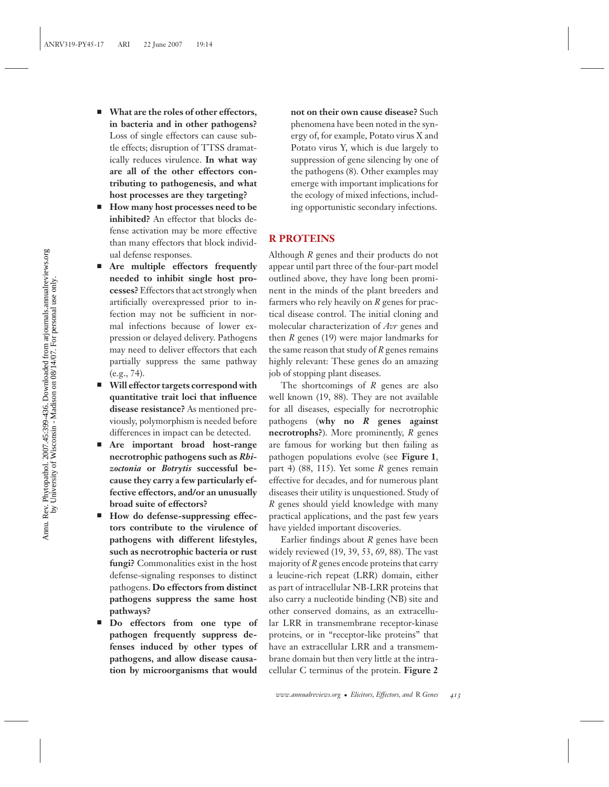- - **What are the roles of other effectors, in bacteria and in other pathogens?** Loss of single effectors can cause subtle effects; disruption of TTSS dramatically reduces virulence. **In what way are all of the other effectors contributing to pathogenesis, and what host processes are they targeting?**
- - **How many host processes need to be inhibited?** An effector that blocks defense activation may be more effective than many effectors that block individual defense responses.
- - **Are multiple effectors frequently needed to inhibit single host processes?**Effectors that act strongly when artificially overexpressed prior to infection may not be sufficient in normal infections because of lower expression or delayed delivery. Pathogens may need to deliver effectors that each partially suppress the same pathway (e.g., 74).
- **Will effector targets correspond with quantitative trait loci that influence disease resistance?** As mentioned previously, polymorphism is needed before differences in impact can be detected.
- **Are important broad host-range necrotrophic pathogens such as** *Rhizoctonia* **or** *Botrytis* **successful because they carry a few particularly effective effectors, and/or an unusually broad suite of effectors?**
- How do defense-suppressing effec**tors contribute to the virulence of pathogens with different lifestyles, such as necrotrophic bacteria or rust fungi?** Commonalities exist in the host defense-signaling responses to distinct pathogens. **Do effectors from distinct pathogens suppress the same host pathways?**
- **Do effectors from one type of pathogen frequently suppress defenses induced by other types of pathogens, and allow disease causation by microorganisms that would**

**not on their own cause disease?** Such phenomena have been noted in the synergy of, for example, Potato virus X and Potato virus Y, which is due largely to suppression of gene silencing by one of the pathogens (8). Other examples may emerge with important implications for the ecology of mixed infections, including opportunistic secondary infections.

## **R PROTEINS**

Although *R* genes and their products do not appear until part three of the four-part model outlined above, they have long been prominent in the minds of the plant breeders and farmers who rely heavily on *R* genes for practical disease control. The initial cloning and molecular characterization of *Avr* genes and then *R* genes (19) were major landmarks for the same reason that study of *R* genes remains highly relevant: These genes do an amazing job of stopping plant diseases.

The shortcomings of *R* genes are also well known (19, 88). They are not available for all diseases, especially for necrotrophic pathogens (**why no** *R* **genes against necrotrophs?**). More prominently, *R* genes are famous for working but then failing as pathogen populations evolve (see **Figure 1**, part 4) (88, 115). Yet some *R* genes remain effective for decades, and for numerous plant diseases their utility is unquestioned. Study of *R* genes should yield knowledge with many practical applications, and the past few years have yielded important discoveries.

Earlier findings about *R* genes have been widely reviewed (19, 39, 53, 69, 88). The vast majority of *R* genes encode proteins that carry a leucine-rich repeat (LRR) domain, either as part of intracellular NB-LRR proteins that also carry a nucleotide binding (NB) site and other conserved domains, as an extracellular LRR in transmembrane receptor-kinase proteins, or in "receptor-like proteins" that have an extracellular LRR and a transmembrane domain but then very little at the intracellular C terminus of the protein. **Figure 2**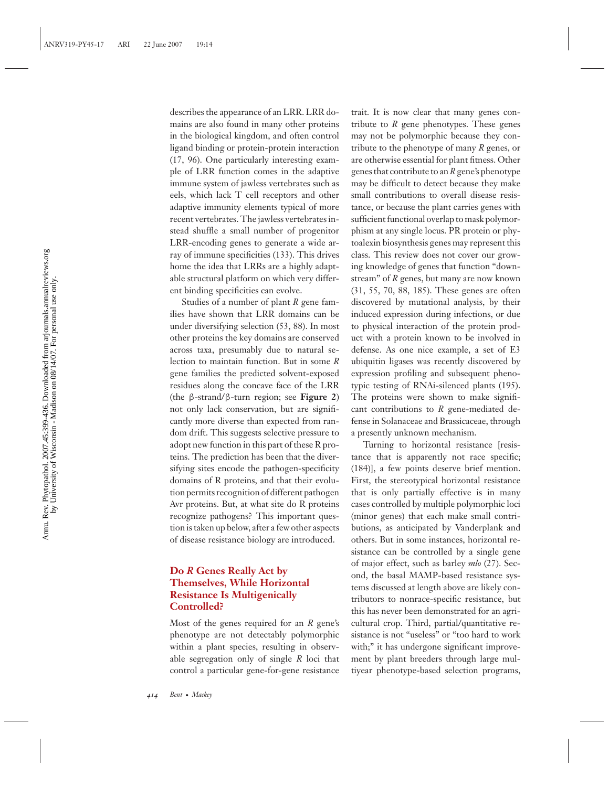describes the appearance of an LRR. LRR domains are also found in many other proteins in the biological kingdom, and often control ligand binding or protein-protein interaction (17, 96). One particularly interesting example of LRR function comes in the adaptive immune system of jawless vertebrates such as eels, which lack T cell receptors and other adaptive immunity elements typical of more recent vertebrates. The jawless vertebrates instead shuffle a small number of progenitor LRR-encoding genes to generate a wide array of immune specificities (133). This drives home the idea that LRRs are a highly adaptable structural platform on which very different binding specificities can evolve.

Studies of a number of plant *R* gene families have shown that LRR domains can be under diversifying selection (53, 88). In most other proteins the key domains are conserved across taxa, presumably due to natural selection to maintain function. But in some *R* gene families the predicted solvent-exposed residues along the concave face of the LRR (the β-strand/β-turn region; see **Figure 2**) not only lack conservation, but are significantly more diverse than expected from random drift. This suggests selective pressure to adopt new function in this part of these R proteins. The prediction has been that the diversifying sites encode the pathogen-specificity domains of R proteins, and that their evolution permits recognition of different pathogen Avr proteins. But, at what site do R proteins recognize pathogens? This important question is taken up below, after a few other aspects of disease resistance biology are introduced.

#### **Do** *R* **Genes Really Act by Themselves, While Horizontal Resistance Is Multigenically Controlled?**

Most of the genes required for an *R* gene's phenotype are not detectably polymorphic within a plant species, resulting in observable segregation only of single *R* loci that control a particular gene-for-gene resistance

trait. It is now clear that many genes contribute to *R* gene phenotypes. These genes may not be polymorphic because they contribute to the phenotype of many *R* genes, or are otherwise essential for plant fitness. Other genes that contribute to an*R*gene's phenotype may be difficult to detect because they make small contributions to overall disease resistance, or because the plant carries genes with sufficient functional overlap to mask polymorphism at any single locus. PR protein or phytoalexin biosynthesis genes may represent this class. This review does not cover our growing knowledge of genes that function "downstream" of *R* genes, but many are now known (31, 55, 70, 88, 185). These genes are often discovered by mutational analysis, by their induced expression during infections, or due to physical interaction of the protein product with a protein known to be involved in defense. As one nice example, a set of E3 ubiquitin ligases was recently discovered by expression profiling and subsequent phenotypic testing of RNAi-silenced plants (195). The proteins were shown to make significant contributions to *R* gene-mediated defense in Solanaceae and Brassicaceae, through a presently unknown mechanism.

Turning to horizontal resistance [resistance that is apparently not race specific; (184)], a few points deserve brief mention. First, the stereotypical horizontal resistance that is only partially effective is in many cases controlled by multiple polymorphic loci (minor genes) that each make small contributions, as anticipated by Vanderplank and others. But in some instances, horizontal resistance can be controlled by a single gene of major effect, such as barley *mlo* (27). Second, the basal MAMP-based resistance systems discussed at length above are likely contributors to nonrace-specific resistance, but this has never been demonstrated for an agricultural crop. Third, partial/quantitative resistance is not "useless" or "too hard to work with;" it has undergone significant improvement by plant breeders through large multiyear phenotype-based selection programs,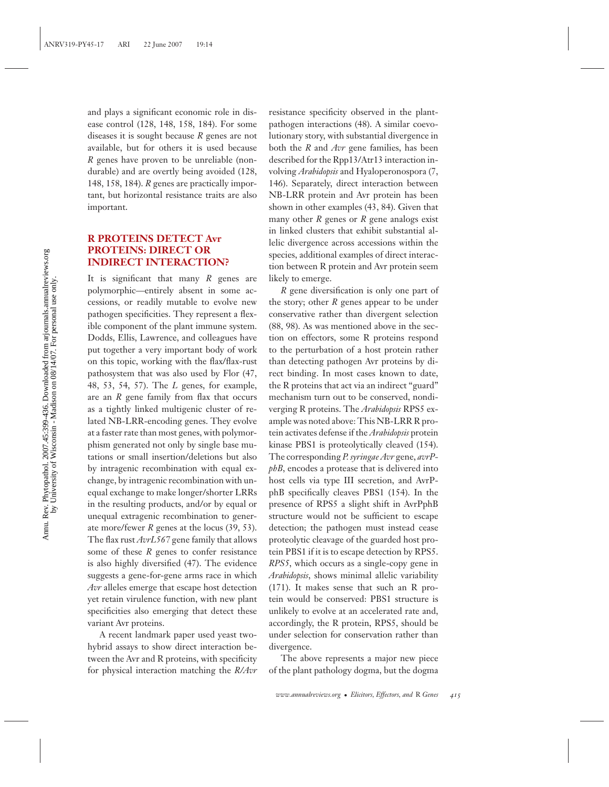and plays a significant economic role in disease control (128, 148, 158, 184). For some diseases it is sought because *R* genes are not available, but for others it is used because *R* genes have proven to be unreliable (nondurable) and are overtly being avoided (128, 148, 158, 184). *R* genes are practically important, but horizontal resistance traits are also important.

#### **R PROTEINS DETECT Avr PROTEINS: DIRECT OR INDIRECT INTERACTION?**

It is significant that many *R* genes are polymorphic—entirely absent in some accessions, or readily mutable to evolve new pathogen specificities. They represent a flexible component of the plant immune system. Dodds, Ellis, Lawrence, and colleagues have put together a very important body of work on this topic, working with the flax/flax-rust pathosystem that was also used by Flor (47, 48, 53, 54, 57). The *L* genes, for example, are an *R* gene family from flax that occurs as a tightly linked multigenic cluster of related NB-LRR-encoding genes. They evolve at a faster rate than most genes, with polymorphism generated not only by single base mutations or small insertion/deletions but also by intragenic recombination with equal exchange, by intragenic recombination with unequal exchange to make longer/shorter LRRs in the resulting products, and/or by equal or unequal extragenic recombination to generate more/fewer *R* genes at the locus (39, 53). The flax rust *AvrL567* gene family that allows some of these *R* genes to confer resistance is also highly diversified (47). The evidence suggests a gene-for-gene arms race in which *Avr* alleles emerge that escape host detection yet retain virulence function, with new plant specificities also emerging that detect these variant Avr proteins.

A recent landmark paper used yeast twohybrid assays to show direct interaction between the Avr and R proteins, with specificity for physical interaction matching the *R/Avr*

resistance specificity observed in the plantpathogen interactions (48). A similar coevolutionary story, with substantial divergence in both the *R* and *Avr* gene families, has been described for the Rpp13/Atr13 interaction involving *Arabidopsis* and Hyaloperonospora (7, 146). Separately, direct interaction between NB-LRR protein and Avr protein has been shown in other examples (43, 84). Given that many other *R* genes or *R* gene analogs exist in linked clusters that exhibit substantial allelic divergence across accessions within the species, additional examples of direct interaction between R protein and Avr protein seem likely to emerge.

*R* gene diversification is only one part of the story; other *R* genes appear to be under conservative rather than divergent selection (88, 98). As was mentioned above in the section on effectors, some R proteins respond to the perturbation of a host protein rather than detecting pathogen Avr proteins by direct binding. In most cases known to date, the R proteins that act via an indirect "guard" mechanism turn out to be conserved, nondiverging R proteins. The *Arabidopsis* RPS5 example was noted above: This NB-LRR R protein activates defense if the *Arabidopsis* protein kinase PBS1 is proteolytically cleaved (154). The corresponding *P. syringae Avr* gene, *avrPphB*, encodes a protease that is delivered into host cells via type III secretion, and AvrPphB specifically cleaves PBS1 (154). In the presence of RPS5 a slight shift in AvrPphB structure would not be sufficient to escape detection; the pathogen must instead cease proteolytic cleavage of the guarded host protein PBS1 if it is to escape detection by RPS5. *RPS5*, which occurs as a single-copy gene in *Arabidopsis*, shows minimal allelic variability (171). It makes sense that such an R protein would be conserved: PBS1 structure is unlikely to evolve at an accelerated rate and, accordingly, the R protein, RPS5, should be under selection for conservation rather than divergence.

The above represents a major new piece of the plant pathology dogma, but the dogma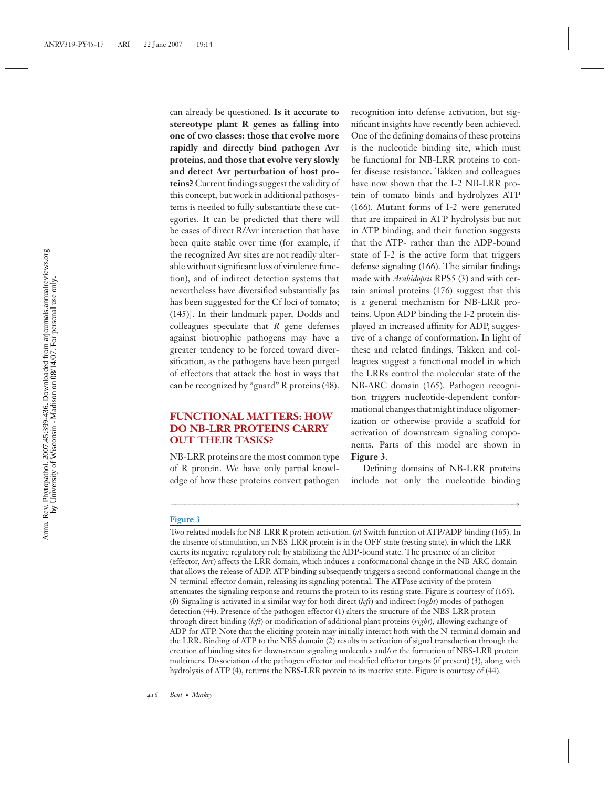can already be questioned. **Is it accurate to stereotype plant R genes as falling into one of two classes: those that evolve more rapidly and directly bind pathogen Avr proteins, and those that evolve very slowly and detect Avr perturbation of host proteins?** Current findings suggest the validity of this concept, but work in additional pathosystems is needed to fully substantiate these categories. It can be predicted that there will be cases of direct R/Avr interaction that have been quite stable over time (for example, if the recognized Avr sites are not readily alterable without significant loss of virulence function), and of indirect detection systems that nevertheless have diversified substantially [as has been suggested for the Cf loci of tomato; (145)]. In their landmark paper, Dodds and colleagues speculate that *R* gene defenses against biotrophic pathogens may have a greater tendency to be forced toward diversification, as the pathogens have been purged of effectors that attack the host in ways that can be recognized by "guard" R proteins (48).

#### **FUNCTIONAL MATTERS: HOW DO NB-LRR PROTEINS CARRY OUT THEIR TASKS?**

NB-LRR proteins are the most common type of R protein. We have only partial knowledge of how these proteins convert pathogen recognition into defense activation, but significant insights have recently been achieved. One of the defining domains of these proteins is the nucleotide binding site, which must be functional for NB-LRR proteins to confer disease resistance. Takken and colleagues have now shown that the I-2 NB-LRR protein of tomato binds and hydrolyzes ATP (166). Mutant forms of I-2 were generated that are impaired in ATP hydrolysis but not in ATP binding, and their function suggests that the ATP- rather than the ADP-bound state of I-2 is the active form that triggers defense signaling (166). The similar findings made with *Arabidopsis* RPS5 (3) and with certain animal proteins (176) suggest that this is a general mechanism for NB-LRR proteins. Upon ADP binding the I-2 protein displayed an increased affinity for ADP, suggestive of a change of conformation. In light of these and related findings, Takken and colleagues suggest a functional model in which the LRRs control the molecular state of the NB-ARC domain (165). Pathogen recognition triggers nucleotide-dependent conformational changes that might induce oligomerization or otherwise provide a scaffold for activation of downstream signaling components. Parts of this model are shown in **Figure 3**.

Defining domains of NB-LRR proteins include not only the nucleotide binding

#### **Figure 3**

Two related models for NB-LRR R protein activation. (*a*) Switch function of ATP/ADP binding (165). In the absence of stimulation, an NBS-LRR protein is in the OFF-state (resting state), in which the LRR exerts its negative regulatory role by stabilizing the ADP-bound state. The presence of an elicitor (effector, Avr) affects the LRR domain, which induces a conformational change in the NB-ARC domain that allows the release of ADP. ATP binding subsequently triggers a second conformational change in the N-terminal effector domain, releasing its signaling potential. The ATPase activity of the protein attenuates the signaling response and returns the protein to its resting state. Figure is courtesy of (165). (*b***)** Signaling is activated in a similar way for both direct (*left*) and indirect (*right*) modes of pathogen detection (44). Presence of the pathogen effector (1) alters the structure of the NBS-LRR protein through direct binding (*left*) or modification of additional plant proteins (*right*), allowing exchange of ADP for ATP. Note that the eliciting protein may initially interact both with the N-terminal domain and the LRR. Binding of ATP to the NBS domain (2) results in activation of signal transduction through the creation of binding sites for downstream signaling molecules and/or the formation of NBS-LRR protein multimers. Dissociation of the pathogen effector and modified effector targets (if present) (3), along with hydrolysis of ATP (4), returns the NBS-LRR protein to its inactive state. Figure is courtesy of (44).

−−−−−−−−−−−−−−−−−−−−−−−−−−−−−−−−−−−−−−−−−−−−−−−−−−−−−−−−−−−−−−−−−−−−−→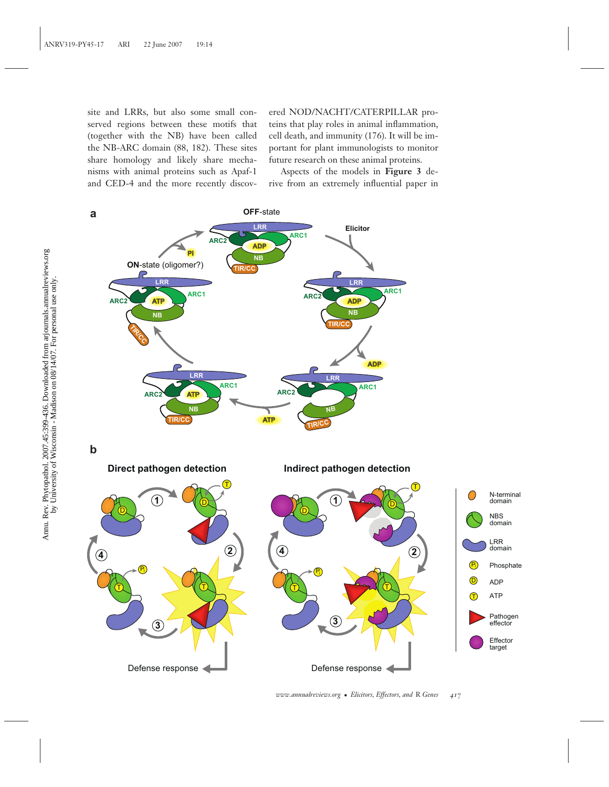site and LRRs, but also some small conserved regions between these motifs that (together with the NB) have been called the NB-ARC domain (88, 182). These sites share homology and likely share mechanisms with animal proteins such as Apaf-1 and CED-4 and the more recently discov-

ered NOD/NACHT/CATERPILLAR proteins that play roles in animal inflammation, cell death, and immunity (176). It will be important for plant immunologists to monitor future research on these animal proteins.

Aspects of the models in **Figure 3** derive from an extremely influential paper in

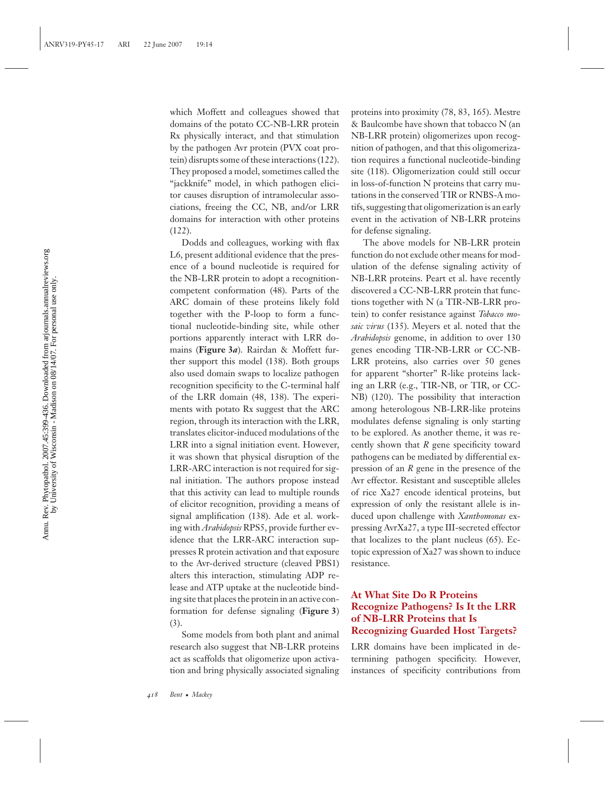which Moffett and colleagues showed that domains of the potato CC-NB-LRR protein Rx physically interact, and that stimulation by the pathogen Avr protein (PVX coat protein) disrupts some of these interactions (122). They proposed a model, sometimes called the "jackknife" model, in which pathogen elicitor causes disruption of intramolecular associations, freeing the CC, NB, and/or LRR domains for interaction with other proteins (122).

Dodds and colleagues, working with flax L6, present additional evidence that the presence of a bound nucleotide is required for the NB-LRR protein to adopt a recognitioncompetent conformation (48). Parts of the ARC domain of these proteins likely fold together with the P-loop to form a functional nucleotide-binding site, while other portions apparently interact with LRR domains (**Figure 3***a*). Rairdan & Moffett further support this model (138). Both groups also used domain swaps to localize pathogen recognition specificity to the C-terminal half of the LRR domain (48, 138). The experiments with potato Rx suggest that the ARC region, through its interaction with the LRR, translates elicitor-induced modulations of the LRR into a signal initiation event. However, it was shown that physical disruption of the LRR-ARC interaction is not required for signal initiation. The authors propose instead that this activity can lead to multiple rounds of elicitor recognition, providing a means of signal amplification (138). Ade et al. working with *Arabidopsis* RPS5, provide further evidence that the LRR-ARC interaction suppresses R protein activation and that exposure to the Avr-derived structure (cleaved PBS1) alters this interaction, stimulating ADP release and ATP uptake at the nucleotide binding site that places the protein in an active conformation for defense signaling (**Figure 3**) (3).

Some models from both plant and animal research also suggest that NB-LRR proteins act as scaffolds that oligomerize upon activation and bring physically associated signaling proteins into proximity (78, 83, 165). Mestre & Baulcombe have shown that tobacco N (an NB-LRR protein) oligomerizes upon recognition of pathogen, and that this oligomerization requires a functional nucleotide-binding site (118). Oligomerization could still occur in loss-of-function N proteins that carry mutations in the conserved TIR or RNBS-A motifs, suggesting that oligomerization is an early event in the activation of NB-LRR proteins for defense signaling.

The above models for NB-LRR protein function do not exclude other means for modulation of the defense signaling activity of NB-LRR proteins. Peart et al. have recently discovered a CC-NB-LRR protein that functions together with N (a TIR-NB-LRR protein) to confer resistance against *Tobacco mosaic virus* (135). Meyers et al. noted that the *Arabidopsis* genome, in addition to over 130 genes encoding TIR-NB-LRR or CC-NB-LRR proteins, also carries over 50 genes for apparent "shorter" R-like proteins lacking an LRR (e.g., TIR-NB, or TIR, or CC-NB) (120). The possibility that interaction among heterologous NB-LRR-like proteins modulates defense signaling is only starting to be explored. As another theme, it was recently shown that *R* gene specificity toward pathogens can be mediated by differential expression of an *R* gene in the presence of the Avr effector. Resistant and susceptible alleles of rice Xa27 encode identical proteins, but expression of only the resistant allele is induced upon challenge with *Xanthomonas* expressing AvrXa27, a type III-secreted effector that localizes to the plant nucleus (65). Ectopic expression of Xa27 was shown to induce resistance.

## **At What Site Do R Proteins Recognize Pathogens? Is It the LRR of NB-LRR Proteins that Is Recognizing Guarded Host Targets?**

LRR domains have been implicated in determining pathogen specificity. However, instances of specificity contributions from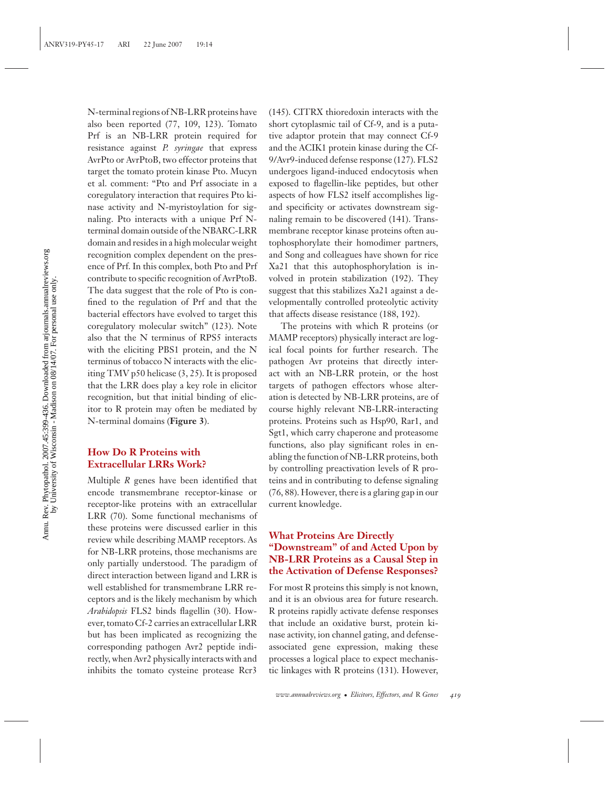N-terminal regions of NB-LRR proteins have also been reported (77, 109, 123). Tomato Prf is an NB-LRR protein required for resistance against *P. syringae* that express AvrPto or AvrPtoB, two effector proteins that target the tomato protein kinase Pto. Mucyn et al. comment: "Pto and Prf associate in a coregulatory interaction that requires Pto kinase activity and N-myristoylation for signaling. Pto interacts with a unique Prf Nterminal domain outside of the NBARC-LRR domain and resides in a high molecular weight recognition complex dependent on the presence of Prf. In this complex, both Pto and Prf contribute to specific recognition of AvrPtoB. The data suggest that the role of Pto is confined to the regulation of Prf and that the bacterial effectors have evolved to target this coregulatory molecular switch" (123). Note also that the N terminus of RPS5 interacts with the eliciting PBS1 protein, and the N terminus of tobacco N interacts with the eliciting TMV p50 helicase (3, 25). It is proposed that the LRR does play a key role in elicitor recognition, but that initial binding of elicitor to R protein may often be mediated by N-terminal domains (**Figure 3**).

#### **How Do R Proteins with Extracellular LRRs Work?**

Multiple *R* genes have been identified that encode transmembrane receptor-kinase or receptor-like proteins with an extracellular LRR (70). Some functional mechanisms of these proteins were discussed earlier in this review while describing MAMP receptors. As for NB-LRR proteins, those mechanisms are only partially understood. The paradigm of direct interaction between ligand and LRR is well established for transmembrane LRR receptors and is the likely mechanism by which *Arabidopsis* FLS2 binds flagellin (30). However, tomato Cf-2 carries an extracellular LRR but has been implicated as recognizing the corresponding pathogen Avr2 peptide indirectly, when Avr2 physically interacts with and inhibits the tomato cysteine protease Rcr3

(145). CITRX thioredoxin interacts with the short cytoplasmic tail of Cf-9, and is a putative adaptor protein that may connect Cf-9 and the ACIK1 protein kinase during the Cf-9/Avr9-induced defense response (127). FLS2 undergoes ligand-induced endocytosis when exposed to flagellin-like peptides, but other aspects of how FLS2 itself accomplishes ligand specificity or activates downstream signaling remain to be discovered (141). Transmembrane receptor kinase proteins often autophosphorylate their homodimer partners, and Song and colleagues have shown for rice Xa21 that this autophosphorylation is involved in protein stabilization (192). They suggest that this stabilizes Xa21 against a developmentally controlled proteolytic activity that affects disease resistance (188, 192).

The proteins with which R proteins (or MAMP receptors) physically interact are logical focal points for further research. The pathogen Avr proteins that directly interact with an NB-LRR protein, or the host targets of pathogen effectors whose alteration is detected by NB-LRR proteins, are of course highly relevant NB-LRR-interacting proteins. Proteins such as Hsp90, Rar1, and Sgt1, which carry chaperone and proteasome functions, also play significant roles in enabling the function of NB-LRR proteins, both by controlling preactivation levels of R proteins and in contributing to defense signaling (76, 88). However, there is a glaring gap in our current knowledge.

## **What Proteins Are Directly "Downstream" of and Acted Upon by NB-LRR Proteins as a Causal Step in the Activation of Defense Responses?**

For most R proteins this simply is not known, and it is an obvious area for future research. R proteins rapidly activate defense responses that include an oxidative burst, protein kinase activity, ion channel gating, and defenseassociated gene expression, making these processes a logical place to expect mechanistic linkages with R proteins (131). However,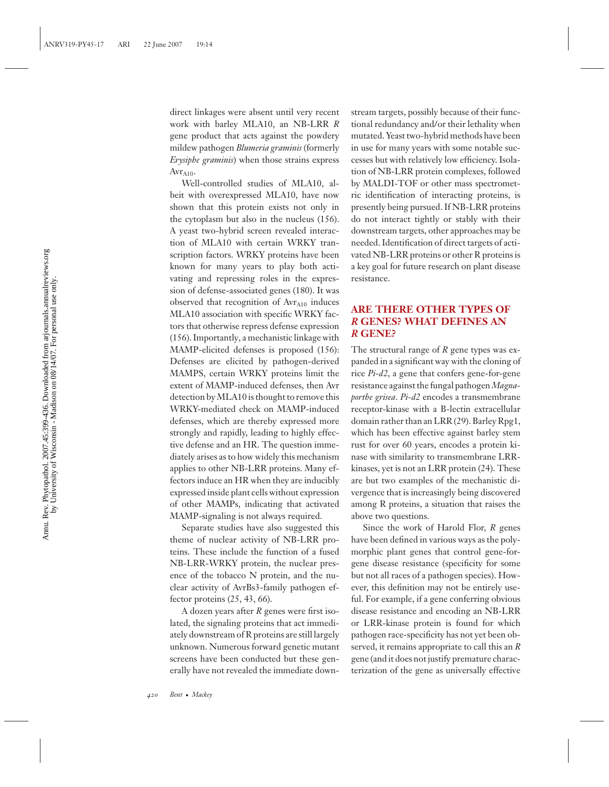direct linkages were absent until very recent work with barley MLA10, an NB-LRR *R* gene product that acts against the powdery mildew pathogen *Blumeria graminis* (formerly *Erysiphe graminis*) when those strains express  $Avr<sub>A10</sub>$ .

Well-controlled studies of MLA10, albeit with overexpressed MLA10, have now shown that this protein exists not only in the cytoplasm but also in the nucleus (156). A yeast two-hybrid screen revealed interaction of MLA10 with certain WRKY transcription factors. WRKY proteins have been known for many years to play both activating and repressing roles in the expression of defense-associated genes (180). It was observed that recognition of  $Avr<sub>A10</sub>$  induces MLA10 association with specific WRKY factors that otherwise repress defense expression (156). Importantly, a mechanistic linkage with MAMP-elicited defenses is proposed (156): Defenses are elicited by pathogen-derived MAMPS, certain WRKY proteins limit the extent of MAMP-induced defenses, then Avr detection by MLA10 is thought to remove this WRKY-mediated check on MAMP-induced defenses, which are thereby expressed more strongly and rapidly, leading to highly effective defense and an HR. The question immediately arises as to how widely this mechanism applies to other NB-LRR proteins. Many effectors induce an HR when they are inducibly expressed inside plant cells without expression of other MAMPs, indicating that activated MAMP-signaling is not always required.

Separate studies have also suggested this theme of nuclear activity of NB-LRR proteins. These include the function of a fused NB-LRR-WRKY protein, the nuclear presence of the tobacco N protein, and the nuclear activity of AvrBs3-family pathogen effector proteins (25, 43, 66).

A dozen years after *R* genes were first isolated, the signaling proteins that act immediately downstream of R proteins are still largely unknown. Numerous forward genetic mutant screens have been conducted but these generally have not revealed the immediate downstream targets, possibly because of their functional redundancy and/or their lethality when mutated. Yeast two-hybrid methods have been in use for many years with some notable successes but with relatively low efficiency. Isolation of NB-LRR protein complexes, followed by MALDI-TOF or other mass spectrometric identification of interacting proteins, is presently being pursued. If NB-LRR proteins do not interact tightly or stably with their downstream targets, other approaches may be needed. Identification of direct targets of activated NB-LRR proteins or other R proteins is a key goal for future research on plant disease resistance.

## **ARE THERE OTHER TYPES OF** *R* **GENES? WHAT DEFINES AN** *R* **GENE?**

The structural range of *R* gene types was expanded in a significant way with the cloning of rice *Pi-d2*, a gene that confers gene-for-gene resistance against the fungal pathogen*Magnaporthe grisea*. *Pi-d2* encodes a transmembrane receptor-kinase with a B-lectin extracellular domain rather than an LRR (29). Barley Rpg1, which has been effective against barley stem rust for over 60 years, encodes a protein kinase with similarity to transmembrane LRRkinases, yet is not an LRR protein (24). These are but two examples of the mechanistic divergence that is increasingly being discovered among R proteins, a situation that raises the above two questions.

Since the work of Harold Flor, *R* genes have been defined in various ways as the polymorphic plant genes that control gene-forgene disease resistance (specificity for some but not all races of a pathogen species). However, this definition may not be entirely useful. For example, if a gene conferring obvious disease resistance and encoding an NB-LRR or LRR-kinase protein is found for which pathogen race-specificity has not yet been observed, it remains appropriate to call this an *R* gene (and it does not justify premature characterization of the gene as universally effective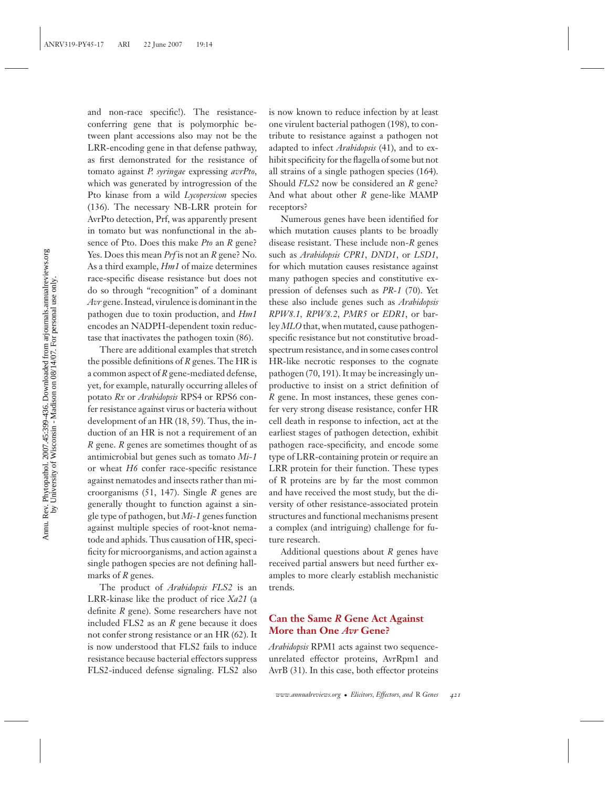and non-race specific!). The resistanceconferring gene that is polymorphic between plant accessions also may not be the LRR-encoding gene in that defense pathway, as first demonstrated for the resistance of tomato against *P. syringae* expressing *avrPto*, which was generated by introgression of the Pto kinase from a wild *Lycopersicon* species (136). The necessary NB-LRR protein for AvrPto detection, Prf, was apparently present in tomato but was nonfunctional in the absence of Pto. Does this make *Pto* an *R* gene? Yes. Does this mean *Prf* is not an *R* gene? No. As a third example, *Hm1* of maize determines race-specific disease resistance but does not do so through "recognition" of a dominant *Avr* gene. Instead, virulence is dominant in the pathogen due to toxin production, and *Hm1* encodes an NADPH-dependent toxin reductase that inactivates the pathogen toxin (86).

There are additional examples that stretch the possible definitions of *R* genes. The HR is a common aspect of *R* gene-mediated defense, yet, for example, naturally occurring alleles of potato *Rx* or *Arabidopsis* RPS4 or RPS6 confer resistance against virus or bacteria without development of an HR (18, 59). Thus, the induction of an HR is not a requirement of an *R* gene. *R* genes are sometimes thought of as antimicrobial but genes such as tomato *Mi-1* or wheat *H6* confer race-specific resistance against nematodes and insects rather than microorganisms (51, 147). Single *R* genes are generally thought to function against a single type of pathogen, but *Mi-1* genes function against multiple species of root-knot nematode and aphids. Thus causation of HR, specificity for microorganisms, and action against a single pathogen species are not defining hallmarks of *R* genes.

The product of *Arabidopsis FLS2* is an LRR-kinase like the product of rice *Xa21* (a definite *R* gene). Some researchers have not included FLS2 as an *R* gene because it does not confer strong resistance or an HR (62). It is now understood that FLS2 fails to induce resistance because bacterial effectors suppress FLS2-induced defense signaling. FLS2 also

is now known to reduce infection by at least one virulent bacterial pathogen (198), to contribute to resistance against a pathogen not adapted to infect *Arabidopsis* (41), and to exhibit specificity for the flagella of some but not all strains of a single pathogen species (164). Should *FLS2* now be considered an *R* gene? And what about other *R* gene-like MAMP receptors?

Numerous genes have been identified for which mutation causes plants to be broadly disease resistant. These include non-*R* genes such as *Arabidopsis CPR1*, *DND1*, or *LSD1*, for which mutation causes resistance against many pathogen species and constitutive expression of defenses such as *PR-1* (70). Yet these also include genes such as *Arabidopsis RPW8.1, RPW8.2*, *PMR5* or *EDR1*, or barley *MLO* that, when mutated, cause pathogenspecific resistance but not constitutive broadspectrum resistance, and in some cases control HR-like necrotic responses to the cognate pathogen (70, 191). It may be increasingly unproductive to insist on a strict definition of *R* gene. In most instances, these genes confer very strong disease resistance, confer HR cell death in response to infection, act at the earliest stages of pathogen detection, exhibit pathogen race-specificity, and encode some type of LRR-containing protein or require an LRR protein for their function. These types of R proteins are by far the most common and have received the most study, but the diversity of other resistance-associated protein structures and functional mechanisms present a complex (and intriguing) challenge for future research.

Additional questions about *R* genes have received partial answers but need further examples to more clearly establish mechanistic trends.

#### **Can the Same** *R* **Gene Act Against More than One** *Avr* **Gene?**

*Arabidopsis* RPM1 acts against two sequenceunrelated effector proteins, AvrRpm1 and AvrB (31). In this case, both effector proteins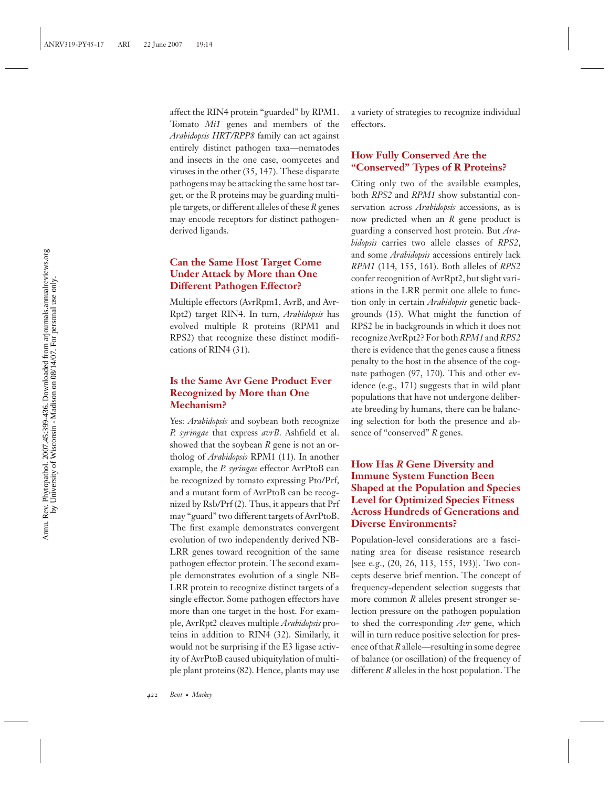affect the RIN4 protein "guarded" by RPM1. Tomato *Mi1* genes and members of the *Arabidopsis HRT/RPP8* family can act against entirely distinct pathogen taxa—nematodes and insects in the one case, oomycetes and viruses in the other (35, 147). These disparate pathogens may be attacking the same host target, or the R proteins may be guarding multiple targets, or different alleles of these *R* genes may encode receptors for distinct pathogenderived ligands.

## **Can the Same Host Target Come Under Attack by More than One Different Pathogen Effector?**

Multiple effectors (AvrRpm1, AvrB, and Avr-Rpt2) target RIN4. In turn, *Arabidopsis* has evolved multiple R proteins (RPM1 and RPS2) that recognize these distinct modifications of RIN4 (31).

#### **Is the Same Avr Gene Product Ever Recognized by More than One Mechanism?**

Yes: *Arabidopsis* and soybean both recognize *P. syringae* that express *avrB*. Ashfield et al. showed that the soybean *R* gene is not an ortholog of *Arabidopsis* RPM1 (11). In another example, the *P. syringae* effector AvrPtoB can be recognized by tomato expressing Pto/Prf, and a mutant form of AvrPtoB can be recognized by Rsb/Prf (2). Thus, it appears that Prf may "guard" two different targets of AvrPtoB. The first example demonstrates convergent evolution of two independently derived NB-LRR genes toward recognition of the same pathogen effector protein. The second example demonstrates evolution of a single NB-LRR protein to recognize distinct targets of a single effector. Some pathogen effectors have more than one target in the host. For example, AvrRpt2 cleaves multiple *Arabidopsis* proteins in addition to RIN4 (32). Similarly, it would not be surprising if the E3 ligase activity of AvrPtoB caused ubiquitylation of multiple plant proteins (82). Hence, plants may use

a variety of strategies to recognize individual effectors.

#### **How Fully Conserved Are the "Conserved" Types of R Proteins?**

Citing only two of the available examples, both *RPS2* and *RPM1* show substantial conservation across *Arabidopsis* accessions, as is now predicted when an *R* gene product is guarding a conserved host protein. But *Arabidopsis* carries two allele classes of *RPS2*, and some *Arabidopsis* accessions entirely lack *RPM1* (114, 155, 161). Both alleles of *RPS2* confer recognition of AvrRpt2, but slight variations in the LRR permit one allele to function only in certain *Arabidopsis* genetic backgrounds (15). What might the function of RPS2 be in backgrounds in which it does not recognize AvrRpt2? For both*RPM1* and*RPS2* there is evidence that the genes cause a fitness penalty to the host in the absence of the cognate pathogen (97, 170). This and other evidence (e.g., 171) suggests that in wild plant populations that have not undergone deliberate breeding by humans, there can be balancing selection for both the presence and absence of "conserved" *R* genes.

## **How Has** *R* **Gene Diversity and Immune System Function Been Shaped at the Population and Species Level for Optimized Species Fitness Across Hundreds of Generations and Diverse Environments?**

Population-level considerations are a fascinating area for disease resistance research [see e.g., (20, 26, 113, 155, 193)]. Two concepts deserve brief mention. The concept of frequency-dependent selection suggests that more common *R* alleles present stronger selection pressure on the pathogen population to shed the corresponding *Avr* gene, which will in turn reduce positive selection for presence of that *R* allele—resulting in some degree of balance (or oscillation) of the frequency of different *R* alleles in the host population. The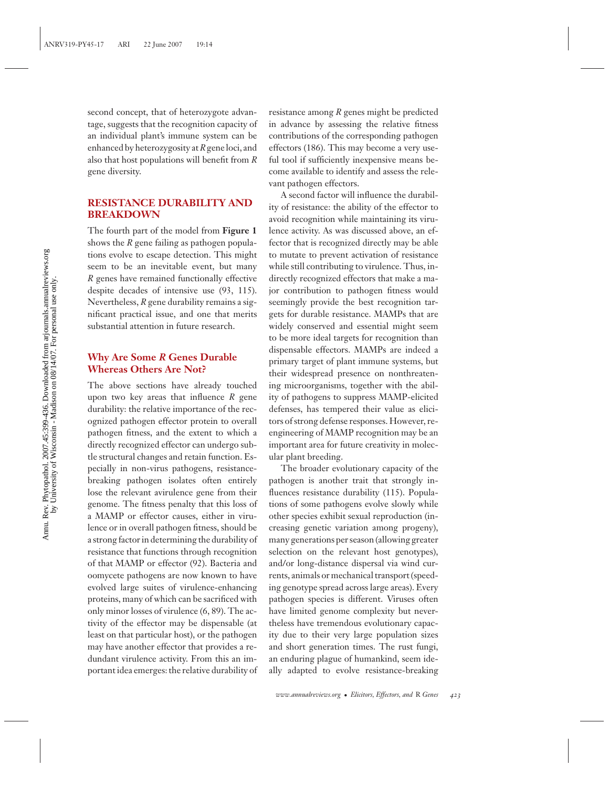second concept, that of heterozygote advantage, suggests that the recognition capacity of an individual plant's immune system can be enhanced by heterozygosity at*R*gene loci, and also that host populations will benefit from *R* gene diversity.

#### **RESISTANCE DURABILITY AND BREAKDOWN**

The fourth part of the model from **Figure 1** shows the *R* gene failing as pathogen populations evolve to escape detection. This might seem to be an inevitable event, but many *R* genes have remained functionally effective despite decades of intensive use (93, 115). Nevertheless, *R* gene durability remains a significant practical issue, and one that merits substantial attention in future research.

#### **Why Are Some** *R* **Genes Durable Whereas Others Are Not?**

The above sections have already touched upon two key areas that influence *R* gene durability: the relative importance of the recognized pathogen effector protein to overall pathogen fitness, and the extent to which a directly recognized effector can undergo subtle structural changes and retain function. Especially in non-virus pathogens, resistancebreaking pathogen isolates often entirely lose the relevant avirulence gene from their genome. The fitness penalty that this loss of a MAMP or effector causes, either in virulence or in overall pathogen fitness, should be a strong factor in determining the durability of resistance that functions through recognition of that MAMP or effector (92). Bacteria and oomycete pathogens are now known to have evolved large suites of virulence-enhancing proteins, many of which can be sacrificed with only minor losses of virulence (6, 89). The activity of the effector may be dispensable (at least on that particular host), or the pathogen may have another effector that provides a redundant virulence activity. From this an important idea emerges: the relative durability of

resistance among *R* genes might be predicted in advance by assessing the relative fitness contributions of the corresponding pathogen effectors (186). This may become a very useful tool if sufficiently inexpensive means become available to identify and assess the relevant pathogen effectors.

A second factor will influence the durability of resistance: the ability of the effector to avoid recognition while maintaining its virulence activity. As was discussed above, an effector that is recognized directly may be able to mutate to prevent activation of resistance while still contributing to virulence. Thus, indirectly recognized effectors that make a major contribution to pathogen fitness would seemingly provide the best recognition targets for durable resistance. MAMPs that are widely conserved and essential might seem to be more ideal targets for recognition than dispensable effectors. MAMPs are indeed a primary target of plant immune systems, but their widespread presence on nonthreatening microorganisms, together with the ability of pathogens to suppress MAMP-elicited defenses, has tempered their value as elicitors of strong defense responses. However, reengineering of MAMP recognition may be an important area for future creativity in molecular plant breeding.

The broader evolutionary capacity of the pathogen is another trait that strongly influences resistance durability (115). Populations of some pathogens evolve slowly while other species exhibit sexual reproduction (increasing genetic variation among progeny), many generations per season (allowing greater selection on the relevant host genotypes), and/or long-distance dispersal via wind currents, animals or mechanical transport (speeding genotype spread across large areas). Every pathogen species is different. Viruses often have limited genome complexity but nevertheless have tremendous evolutionary capacity due to their very large population sizes and short generation times. The rust fungi, an enduring plague of humankind, seem ideally adapted to evolve resistance-breaking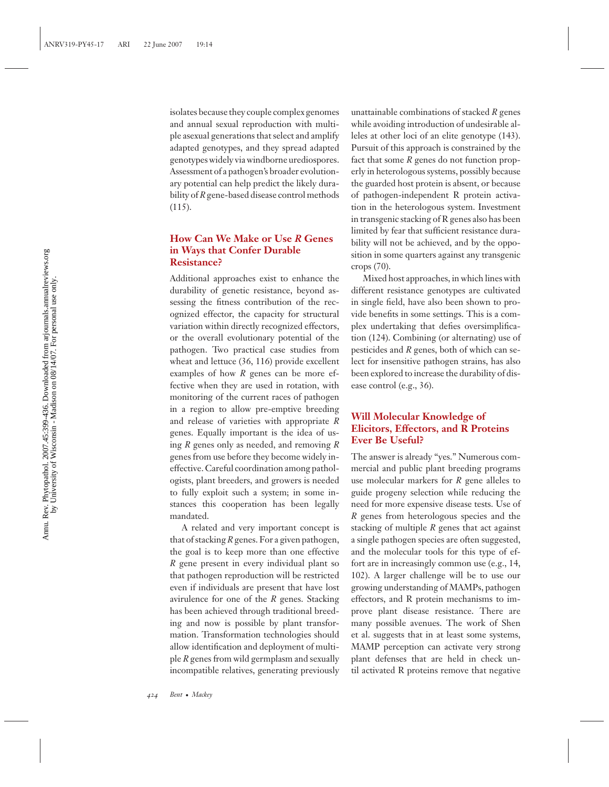isolates because they couple complex genomes and annual sexual reproduction with multiple asexual generations that select and amplify adapted genotypes, and they spread adapted genotypes widely via windborne urediospores. Assessment of a pathogen's broader evolutionary potential can help predict the likely durability of *R* gene-based disease control methods (115).

#### **How Can We Make or Use** *R* **Genes in Ways that Confer Durable Resistance?**

Additional approaches exist to enhance the durability of genetic resistance, beyond assessing the fitness contribution of the recognized effector, the capacity for structural variation within directly recognized effectors, or the overall evolutionary potential of the pathogen. Two practical case studies from wheat and lettuce (36, 116) provide excellent examples of how *R* genes can be more effective when they are used in rotation, with monitoring of the current races of pathogen in a region to allow pre-emptive breeding and release of varieties with appropriate *R* genes. Equally important is the idea of using *R* genes only as needed, and removing *R* genes from use before they become widely ineffective. Careful coordination among pathologists, plant breeders, and growers is needed to fully exploit such a system; in some instances this cooperation has been legally mandated.

A related and very important concept is that of stacking *R* genes. For a given pathogen, the goal is to keep more than one effective *R* gene present in every individual plant so that pathogen reproduction will be restricted even if individuals are present that have lost avirulence for one of the *R* genes. Stacking has been achieved through traditional breeding and now is possible by plant transformation. Transformation technologies should allow identification and deployment of multiple *R* genes from wild germplasm and sexually incompatible relatives, generating previously

unattainable combinations of stacked *R* genes while avoiding introduction of undesirable alleles at other loci of an elite genotype (143). Pursuit of this approach is constrained by the fact that some *R* genes do not function properly in heterologous systems, possibly because the guarded host protein is absent, or because of pathogen-independent R protein activation in the heterologous system. Investment in transgenic stacking of R genes also has been limited by fear that sufficient resistance durability will not be achieved, and by the opposition in some quarters against any transgenic crops (70).

Mixed host approaches, in which lines with different resistance genotypes are cultivated in single field, have also been shown to provide benefits in some settings. This is a complex undertaking that defies oversimplification (124). Combining (or alternating) use of pesticides and *R* genes, both of which can select for insensitive pathogen strains, has also been explored to increase the durability of disease control (e.g., 36).

#### **Will Molecular Knowledge of Elicitors, Effectors, and R Proteins Ever Be Useful?**

The answer is already "yes." Numerous commercial and public plant breeding programs use molecular markers for *R* gene alleles to guide progeny selection while reducing the need for more expensive disease tests. Use of *R* genes from heterologous species and the stacking of multiple *R* genes that act against a single pathogen species are often suggested, and the molecular tools for this type of effort are in increasingly common use (e.g., 14, 102). A larger challenge will be to use our growing understanding of MAMPs, pathogen effectors, and R protein mechanisms to improve plant disease resistance. There are many possible avenues. The work of Shen et al. suggests that in at least some systems, MAMP perception can activate very strong plant defenses that are held in check until activated R proteins remove that negative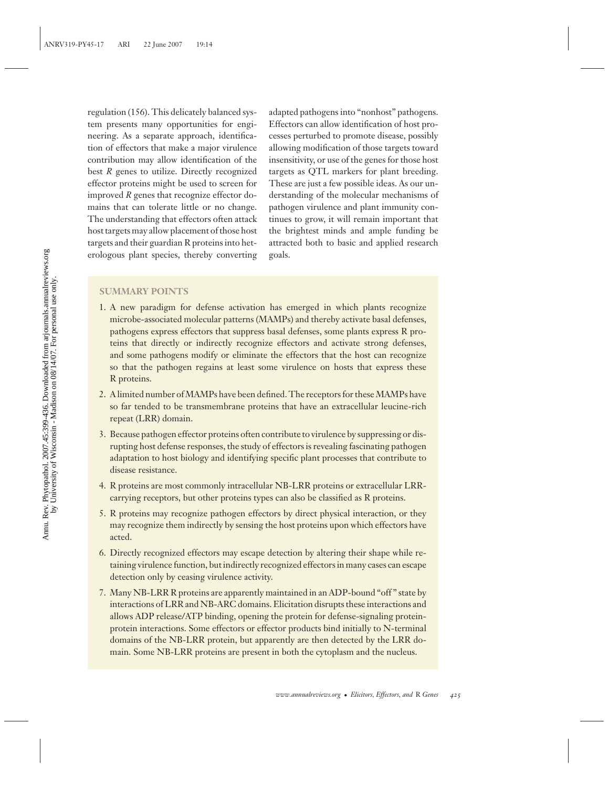regulation (156). This delicately balanced system presents many opportunities for engineering. As a separate approach, identification of effectors that make a major virulence contribution may allow identification of the best *R* genes to utilize. Directly recognized effector proteins might be used to screen for improved *R* genes that recognize effector domains that can tolerate little or no change. The understanding that effectors often attack host targets may allow placement of those host targets and their guardian R proteins into heterologous plant species, thereby converting

adapted pathogens into "nonhost" pathogens. Effectors can allow identification of host processes perturbed to promote disease, possibly allowing modification of those targets toward insensitivity, or use of the genes for those host targets as QTL markers for plant breeding. These are just a few possible ideas. As our understanding of the molecular mechanisms of pathogen virulence and plant immunity continues to grow, it will remain important that the brightest minds and ample funding be attracted both to basic and applied research goals.

#### **SUMMARY POINTS**

- 1. A new paradigm for defense activation has emerged in which plants recognize microbe-associated molecular patterns (MAMPs) and thereby activate basal defenses, pathogens express effectors that suppress basal defenses, some plants express R proteins that directly or indirectly recognize effectors and activate strong defenses, and some pathogens modify or eliminate the effectors that the host can recognize so that the pathogen regains at least some virulence on hosts that express these R proteins.
- 2. A limited number of MAMPs have been defined. The receptors for these MAMPs have so far tended to be transmembrane proteins that have an extracellular leucine-rich repeat (LRR) domain.
- 3. Because pathogen effector proteins often contribute to virulence by suppressing or disrupting host defense responses, the study of effectors is revealing fascinating pathogen adaptation to host biology and identifying specific plant processes that contribute to disease resistance.
- 4. R proteins are most commonly intracellular NB-LRR proteins or extracellular LRRcarrying receptors, but other proteins types can also be classified as R proteins.
- 5. R proteins may recognize pathogen effectors by direct physical interaction, or they may recognize them indirectly by sensing the host proteins upon which effectors have acted.
- 6. Directly recognized effectors may escape detection by altering their shape while retaining virulence function, but indirectly recognized effectors in many cases can escape detection only by ceasing virulence activity.
- 7. Many NB-LRR R proteins are apparently maintained in an ADP-bound "off " state by interactions of LRR and NB-ARC domains. Elicitation disrupts these interactions and allows ADP release/ATP binding, opening the protein for defense-signaling proteinprotein interactions. Some effectors or effector products bind initially to N-terminal domains of the NB-LRR protein, but apparently are then detected by the LRR domain. Some NB-LRR proteins are present in both the cytoplasm and the nucleus.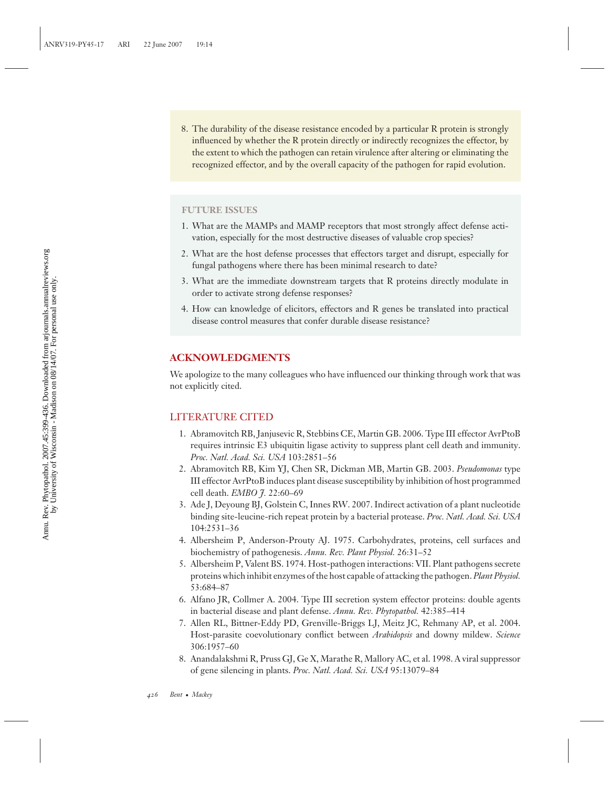8. The durability of the disease resistance encoded by a particular R protein is strongly influenced by whether the R protein directly or indirectly recognizes the effector, by the extent to which the pathogen can retain virulence after altering or eliminating the recognized effector, and by the overall capacity of the pathogen for rapid evolution.

#### **FUTURE ISSUES**

- 1. What are the MAMPs and MAMP receptors that most strongly affect defense activation, especially for the most destructive diseases of valuable crop species?
- 2. What are the host defense processes that effectors target and disrupt, especially for fungal pathogens where there has been minimal research to date?
- 3. What are the immediate downstream targets that R proteins directly modulate in order to activate strong defense responses?
- 4. How can knowledge of elicitors, effectors and R genes be translated into practical disease control measures that confer durable disease resistance?

#### **ACKNOWLEDGMENTS**

We apologize to the many colleagues who have influenced our thinking through work that was not explicitly cited.

#### LITERATURE CITED

- 1. Abramovitch RB, Janjusevic R, Stebbins CE, Martin GB. 2006. Type III effector AvrPtoB requires intrinsic E3 ubiquitin ligase activity to suppress plant cell death and immunity. *Proc. Natl. Acad. Sci. USA* 103:2851–56
- 2. Abramovitch RB, Kim YJ, Chen SR, Dickman MB, Martin GB. 2003. *Pseudomonas* type III effector AvrPtoB induces plant disease susceptibility by inhibition of host programmed cell death. *EMBO J.* 22:60–69
- 3. Ade J, Deyoung BJ, Golstein C, Innes RW. 2007. Indirect activation of a plant nucleotide binding site-leucine-rich repeat protein by a bacterial protease. *Proc. Natl. Acad. Sci. USA* 104:2531–36
- 4. Albersheim P, Anderson-Prouty AJ. 1975. Carbohydrates, proteins, cell surfaces and biochemistry of pathogenesis. *Annu. Rev. Plant Physiol.* 26:31–52
- 5. Albersheim P, Valent BS. 1974. Host-pathogen interactions: VII. Plant pathogens secrete proteins which inhibit enzymes of the host capable of attacking the pathogen. *Plant Physiol.* 53:684–87
- 6. Alfano JR, Collmer A. 2004. Type III secretion system effector proteins: double agents in bacterial disease and plant defense. *Annu. Rev. Phytopathol.* 42:385–414
- 7. Allen RL, Bittner-Eddy PD, Grenville-Briggs LJ, Meitz JC, Rehmany AP, et al. 2004. Host-parasite coevolutionary conflict between *Arabidopsis* and downy mildew. *Science* 306:1957–60
- 8. Anandalakshmi R, Pruss GJ, Ge X, Marathe R, Mallory AC, et al. 1998. A viral suppressor of gene silencing in plants. *Proc. Natl. Acad. Sci. USA* 95:13079–84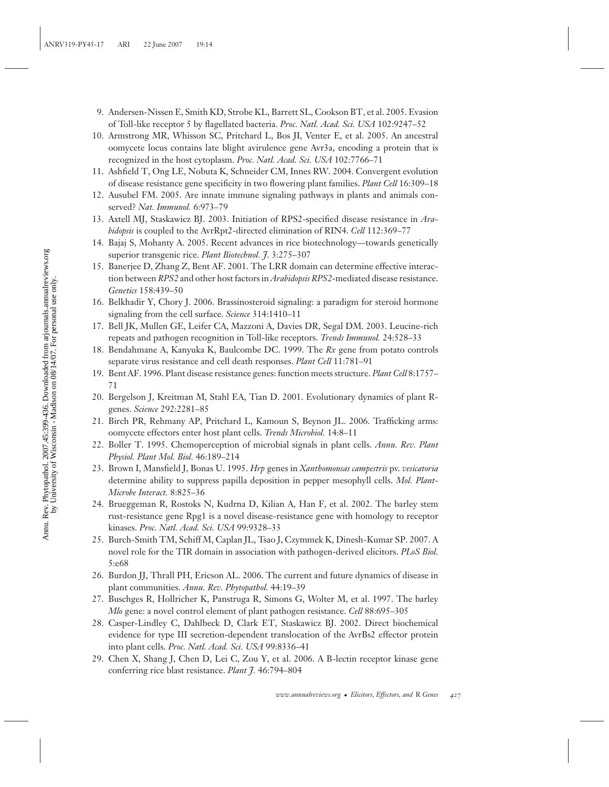- 9. Andersen-Nissen E, Smith KD, Strobe KL, Barrett SL, Cookson BT, et al. 2005. Evasion of Toll-like receptor 5 by flagellated bacteria. *Proc. Natl. Acad. Sci. USA* 102:9247–52
- 10. Armstrong MR, Whisson SC, Pritchard L, Bos JI, Venter E, et al. 2005. An ancestral oomycete locus contains late blight avirulence gene Avr3a, encoding a protein that is recognized in the host cytoplasm. *Proc. Natl. Acad. Sci. USA* 102:7766–71
- 11. Ashfield T, Ong LE, Nobuta K, Schneider CM, Innes RW. 2004. Convergent evolution of disease resistance gene specificity in two flowering plant families. *Plant Cell* 16:309–18
- 12. Ausubel FM. 2005. Are innate immune signaling pathways in plants and animals conserved? *Nat. Immunol.* 6:973–79
- 13. Axtell MJ, Staskawicz BJ. 2003. Initiation of RPS2-specified disease resistance in *Arabidopsis* is coupled to the AvrRpt2-directed elimination of RIN4. *Cell* 112:369–77
- 14. Bajaj S, Mohanty A. 2005. Recent advances in rice biotechnology—towards genetically superior transgenic rice. *Plant Biotechnol. J.* 3:275–307
- 15. Banerjee D, Zhang Z, Bent AF. 2001. The LRR domain can determine effective interaction between *RPS2* and other host factors in *Arabidopsis RPS2*-mediated disease resistance. *Genetics* 158:439–50
- 16. Belkhadir Y, Chory J. 2006. Brassinosteroid signaling: a paradigm for steroid hormone signaling from the cell surface. *Science* 314:1410–11
- 17. Bell JK, Mullen GE, Leifer CA, Mazzoni A, Davies DR, Segal DM. 2003. Leucine-rich repeats and pathogen recognition in Toll-like receptors. *Trends Immunol.* 24:528–33
- 18. Bendahmane A, Kanyuka K, Baulcombe DC. 1999. The *Rx* gene from potato controls separate virus resistance and cell death responses. *Plant Cell* 11:781–91
- 19. Bent AF. 1996. Plant disease resistance genes: function meets structure. *Plant Cell* 8:1757– 71
- 20. Bergelson J, Kreitman M, Stahl EA, Tian D. 2001. Evolutionary dynamics of plant Rgenes. *Science* 292:2281–85
- 21. Birch PR, Rehmany AP, Pritchard L, Kamoun S, Beynon JL. 2006. Trafficking arms: oomycete effectors enter host plant cells. *Trends Microbiol.* 14:8–11
- 22. Boller T. 1995. Chemoperception of microbial signals in plant cells. *Annu. Rev. Plant Physiol. Plant Mol. Biol.* 46:189–214
- 23. Brown I, Mansfield J, Bonas U. 1995. *Hrp* genes in *Xanthomonsas campestris* pv. *vesicatoria* determine ability to suppress papilla deposition in pepper mesophyll cells. *Mol. Plant-Microbe Interact.* 8:825–36
- 24. Brueggeman R, Rostoks N, Kudrna D, Kilian A, Han F, et al. 2002. The barley stem rust-resistance gene Rpg1 is a novel disease-resistance gene with homology to receptor kinases. *Proc. Natl. Acad. Sci. USA* 99:9328–33
- 25. Burch-Smith TM, Schiff M, Caplan JL, Tsao J, Czymmek K, Dinesh-Kumar SP. 2007. A novel role for the TIR domain in association with pathogen-derived elicitors. *PLoS Biol.* 5:e68
- 26. Burdon JJ, Thrall PH, Ericson AL. 2006. The current and future dynamics of disease in plant communities. *Annu. Rev. Phytopathol.* 44:19–39
- 27. Buschges R, Hollricher K, Panstruga R, Simons G, Wolter M, et al. 1997. The barley *Mlo* gene: a novel control element of plant pathogen resistance. *Cell* 88:695–305
- 28. Casper-Lindley C, Dahlbeck D, Clark ET, Staskawicz BJ. 2002. Direct biochemical evidence for type III secretion-dependent translocation of the AvrBs2 effector protein into plant cells. *Proc. Natl. Acad. Sci. USA* 99:8336–41
- 29. Chen X, Shang J, Chen D, Lei C, Zou Y, et al. 2006. A B-lectin receptor kinase gene conferring rice blast resistance. *Plant J.* 46:794–804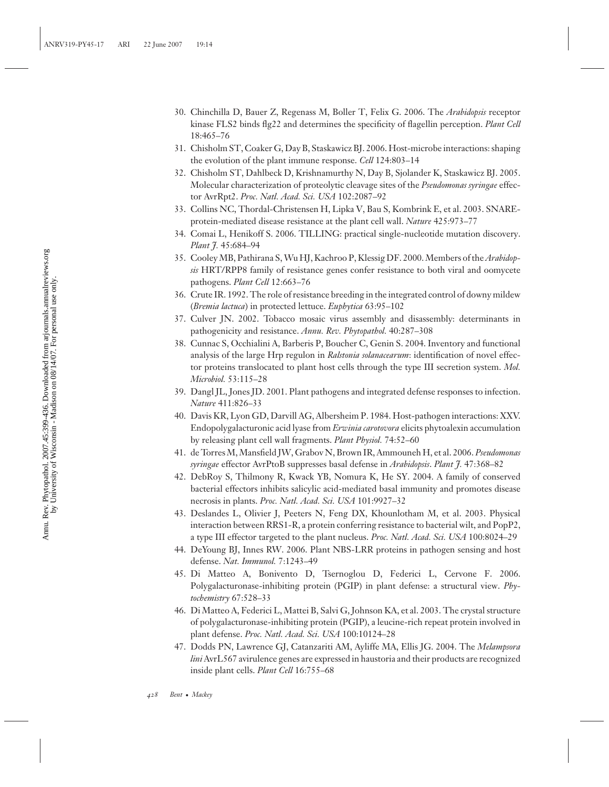- 30. Chinchilla D, Bauer Z, Regenass M, Boller T, Felix G. 2006. The *Arabidopsis* receptor kinase FLS2 binds flg22 and determines the specificity of flagellin perception. *Plant Cell* 18:465–76
- 31. Chisholm ST, Coaker G, Day B, Staskawicz BJ. 2006. Host-microbe interactions: shaping the evolution of the plant immune response. *Cell* 124:803–14
- 32. Chisholm ST, Dahlbeck D, Krishnamurthy N, Day B, Sjolander K, Staskawicz BJ. 2005. Molecular characterization of proteolytic cleavage sites of the *Pseudomonas syringae* effector AvrRpt2. *Proc. Natl. Acad. Sci. USA* 102:2087–92
- 33. Collins NC, Thordal-Christensen H, Lipka V, Bau S, Kombrink E, et al. 2003. SNAREprotein-mediated disease resistance at the plant cell wall. *Nature* 425:973–77
- 34. Comai L, Henikoff S. 2006. TILLING: practical single-nucleotide mutation discovery. *Plant J.* 45:684–94
- 35. Cooley MB, Pathirana S, Wu HJ, Kachroo P, Klessig DF. 2000. Members of the*Arabidopsis* HRT/RPP8 family of resistance genes confer resistance to both viral and oomycete pathogens. *Plant Cell* 12:663–76
- 36. Crute IR. 1992. The role of resistance breeding in the integrated control of downy mildew (*Bremia lactuca*) in protected lettuce. *Euphytica* 63:95–102
- 37. Culver JN. 2002. Tobacco mosaic virus assembly and disassembly: determinants in pathogenicity and resistance. *Annu. Rev. Phytopathol.* 40:287–308
- 38. Cunnac S, Occhialini A, Barberis P, Boucher C, Genin S. 2004. Inventory and functional analysis of the large Hrp regulon in *Ralstonia solanacearum*: identification of novel effector proteins translocated to plant host cells through the type III secretion system. *Mol. Microbiol.* 53:115–28
- 39. Dangl JL, Jones JD. 2001. Plant pathogens and integrated defense responses to infection. *Nature* 411:826–33
- 40. Davis KR, Lyon GD, Darvill AG, Albersheim P. 1984. Host-pathogen interactions: XXV. Endopolygalacturonic acid lyase from *Erwinia carotovora* elicits phytoalexin accumulation by releasing plant cell wall fragments. *Plant Physiol.* 74:52–60
- 41. de Torres M, Mansfield JW, Grabov N, Brown IR, Ammouneh H, et al. 2006. *Pseudomonas syringae* effector AvrPtoB suppresses basal defense in *Arabidopsis*. *Plant J.* 47:368–82
- 42. DebRoy S, Thilmony R, Kwack YB, Nomura K, He SY. 2004. A family of conserved bacterial effectors inhibits salicylic acid-mediated basal immunity and promotes disease necrosis in plants. *Proc. Natl. Acad. Sci. USA* 101:9927–32
- 43. Deslandes L, Olivier J, Peeters N, Feng DX, Khounlotham M, et al. 2003. Physical interaction between RRS1-R, a protein conferring resistance to bacterial wilt, and PopP2, a type III effector targeted to the plant nucleus. *Proc. Natl. Acad. Sci. USA* 100:8024–29
- 44. DeYoung BJ, Innes RW. 2006. Plant NBS-LRR proteins in pathogen sensing and host defense. *Nat. Immunol.* 7:1243–49
- 45. Di Matteo A, Bonivento D, Tsernoglou D, Federici L, Cervone F. 2006. Polygalacturonase-inhibiting protein (PGIP) in plant defense: a structural view. *Phytochemistry* 67:528–33
- 46. Di Matteo A, Federici L, Mattei B, Salvi G, Johnson KA, et al. 2003. The crystal structure of polygalacturonase-inhibiting protein (PGIP), a leucine-rich repeat protein involved in plant defense. *Proc. Natl. Acad. Sci. USA* 100:10124–28
- 47. Dodds PN, Lawrence GJ, Catanzariti AM, Ayliffe MA, Ellis JG. 2004. The *Melampsora lini* AvrL567 avirulence genes are expressed in haustoria and their products are recognized inside plant cells. *Plant Cell* 16:755–68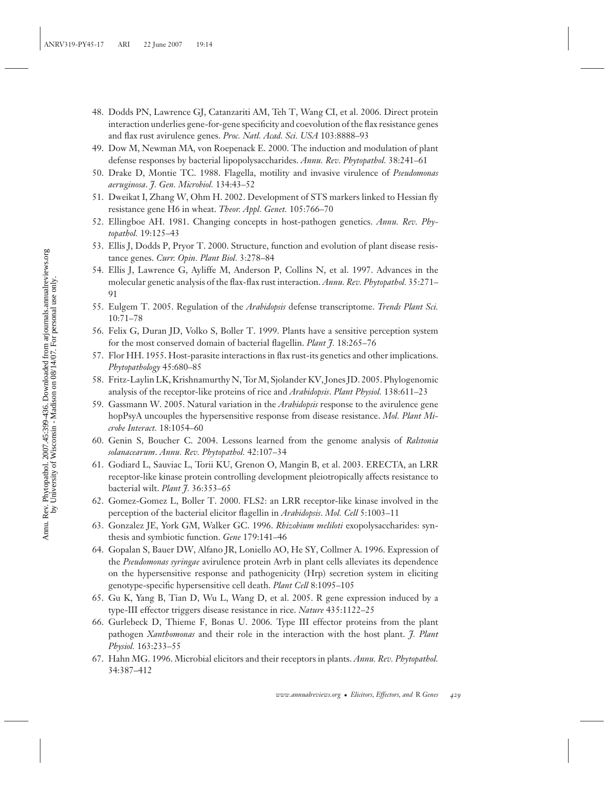- 48. Dodds PN, Lawrence GJ, Catanzariti AM, Teh T, Wang CI, et al. 2006. Direct protein interaction underlies gene-for-gene specificity and coevolution of the flax resistance genes and flax rust avirulence genes. *Proc. Natl. Acad. Sci. USA* 103:8888-93
- 49. Dow M, Newman MA, von Roepenack E. 2000. The induction and modulation of plant defense responses by bacterial lipopolysaccharides. *Annu. Rev. Phytopathol.* 38:241–61
- 50. Drake D, Montie TC. 1988. Flagella, motility and invasive virulence of *Pseudomonas aeruginosa*. *J. Gen. Microbiol.* 134:43–52
- 51. Dweikat I, Zhang W, Ohm H. 2002. Development of STS markers linked to Hessian fly resistance gene H6 in wheat. *Theor. Appl. Genet.* 105:766–70
- 52. Ellingboe AH. 1981. Changing concepts in host-pathogen genetics. *Annu. Rev. Phytopathol.* 19:125–43
- 53. Ellis J, Dodds P, Pryor T. 2000. Structure, function and evolution of plant disease resistance genes. *Curr. Opin. Plant Biol.* 3:278–84
- 54. Ellis J, Lawrence G, Ayliffe M, Anderson P, Collins N, et al. 1997. Advances in the molecular genetic analysis of the flax-flax rust interaction. *Annu. Rev. Phytopathol.* 35:271– 91
- 55. Eulgem T. 2005. Regulation of the *Arabidopsis* defense transcriptome. *Trends Plant Sci.* 10:71–78
- 56. Felix G, Duran JD, Volko S, Boller T. 1999. Plants have a sensitive perception system for the most conserved domain of bacterial flagellin. *Plant J.* 18:265–76
- 57. Flor HH. 1955. Host-parasite interactions in flax rust-its genetics and other implications. *Phytopathology* 45:680–85
- 58. Fritz-Laylin LK, Krishnamurthy N, Tor M, Sjolander KV, Jones JD. 2005. Phylogenomic analysis of the receptor-like proteins of rice and *Arabidopsis*. *Plant Physiol.* 138:611–23
- 59. Gassmann W. 2005. Natural variation in the *Arabidopsis* response to the avirulence gene hopPsyA uncouples the hypersensitive response from disease resistance. *Mol. Plant Microbe Interact.* 18:1054–60
- 60. Genin S, Boucher C. 2004. Lessons learned from the genome analysis of *Ralstonia solanacearum*. *Annu. Rev. Phytopathol.* 42:107–34
- 61. Godiard L, Sauviac L, Torii KU, Grenon O, Mangin B, et al. 2003. ERECTA, an LRR receptor-like kinase protein controlling development pleiotropically affects resistance to bacterial wilt. *Plant J.* 36:353–65
- 62. Gomez-Gomez L, Boller T. 2000. FLS2: an LRR receptor-like kinase involved in the perception of the bacterial elicitor flagellin in *Arabidopsis*. *Mol. Cell* 5:1003–11
- 63. Gonzalez JE, York GM, Walker GC. 1996. *Rhizobium meliloti* exopolysaccharides: synthesis and symbiotic function. *Gene* 179:141–46
- 64. Gopalan S, Bauer DW, Alfano JR, Loniello AO, He SY, Collmer A. 1996. Expression of the *Pseudomonas syringae* avirulence protein Avrb in plant cells alleviates its dependence on the hypersensitive response and pathogenicity (Hrp) secretion system in eliciting genotype-specific hypersensitive cell death. *Plant Cell* 8:1095–105
- 65. Gu K, Yang B, Tian D, Wu L, Wang D, et al. 2005. R gene expression induced by a type-III effector triggers disease resistance in rice. *Nature* 435:1122–25
- 66. Gurlebeck D, Thieme F, Bonas U. 2006. Type III effector proteins from the plant pathogen *Xanthomonas* and their role in the interaction with the host plant. *J. Plant Physiol.* 163:233–55
- 67. Hahn MG. 1996. Microbial elicitors and their receptors in plants. *Annu. Rev. Phytopathol.* 34:387–412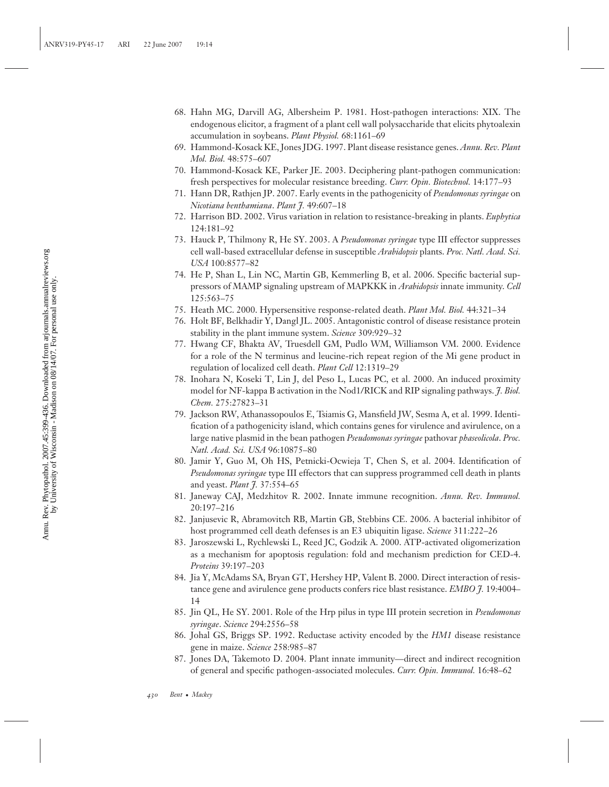- 68. Hahn MG, Darvill AG, Albersheim P. 1981. Host-pathogen interactions: XIX. The endogenous elicitor, a fragment of a plant cell wall polysaccharide that elicits phytoalexin accumulation in soybeans. *Plant Physiol.* 68:1161–69
- 69. Hammond-Kosack KE, Jones JDG. 1997. Plant disease resistance genes. *Annu. Rev. Plant Mol. Biol.* 48:575–607
- 70. Hammond-Kosack KE, Parker JE. 2003. Deciphering plant-pathogen communication: fresh perspectives for molecular resistance breeding. *Curr. Opin. Biotechnol.* 14:177–93
- 71. Hann DR, Rathjen JP. 2007. Early events in the pathogenicity of *Pseudomonas syringae* on *Nicotiana benthamiana*. *Plant J.* 49:607–18
- 72. Harrison BD. 2002. Virus variation in relation to resistance-breaking in plants. *Euphytica* 124:181–92
- 73. Hauck P, Thilmony R, He SY. 2003. A *Pseudomonas syringae* type III effector suppresses cell wall-based extracellular defense in susceptible *Arabidopsis* plants. *Proc. Natl. Acad. Sci. USA* 100:8577–82
- 74. He P, Shan L, Lin NC, Martin GB, Kemmerling B, et al. 2006. Specific bacterial suppressors of MAMP signaling upstream of MAPKKK in *Arabidopsis* innate immunity. *Cell* 125:563–75
- 75. Heath MC. 2000. Hypersensitive response-related death. *Plant Mol. Biol.* 44:321–34
- 76. Holt BF, Belkhadir Y, Dangl JL. 2005. Antagonistic control of disease resistance protein stability in the plant immune system. *Science* 309:929–32
- 77. Hwang CF, Bhakta AV, Truesdell GM, Pudlo WM, Williamson VM. 2000. Evidence for a role of the N terminus and leucine-rich repeat region of the Mi gene product in regulation of localized cell death. *Plant Cell* 12:1319–29
- 78. Inohara N, Koseki T, Lin J, del Peso L, Lucas PC, et al. 2000. An induced proximity model for NF-kappa B activation in the Nod1/RICK and RIP signaling pathways. *J. Biol. Chem.* 275:27823–31
- 79. Jackson RW, Athanassopoulos E, Tsiamis G, Mansfield JW, Sesma A, et al. 1999. Identification of a pathogenicity island, which contains genes for virulence and avirulence, on a large native plasmid in the bean pathogen *Pseudomonas syringae* pathovar *phaseolicola*. *Proc. Natl. Acad. Sci. USA* 96:10875–80
- 80. Jamir Y, Guo M, Oh HS, Petnicki-Ocwieja T, Chen S, et al. 2004. Identification of *Pseudomonas syringae* type III effectors that can suppress programmed cell death in plants and yeast. *Plant J.* 37:554–65
- 81. Janeway CAJ, Medzhitov R. 2002. Innate immune recognition. *Annu. Rev. Immunol.* 20:197–216
- 82. Janjusevic R, Abramovitch RB, Martin GB, Stebbins CE. 2006. A bacterial inhibitor of host programmed cell death defenses is an E3 ubiquitin ligase. *Science* 311:222–26
- 83. Jaroszewski L, Rychlewski L, Reed JC, Godzik A. 2000. ATP-activated oligomerization as a mechanism for apoptosis regulation: fold and mechanism prediction for CED-4. *Proteins* 39:197–203
- 84. Jia Y, McAdams SA, Bryan GT, Hershey HP, Valent B. 2000. Direct interaction of resistance gene and avirulence gene products confers rice blast resistance. *EMBO J.* 19:4004– 14
- 85. Jin QL, He SY. 2001. Role of the Hrp pilus in type III protein secretion in *Pseudomonas syringae*. *Science* 294:2556–58
- 86. Johal GS, Briggs SP. 1992. Reductase activity encoded by the *HM1* disease resistance gene in maize. *Science* 258:985–87
- 87. Jones DA, Takemoto D. 2004. Plant innate immunity—direct and indirect recognition of general and specific pathogen-associated molecules. *Curr. Opin. Immunol.* 16:48–62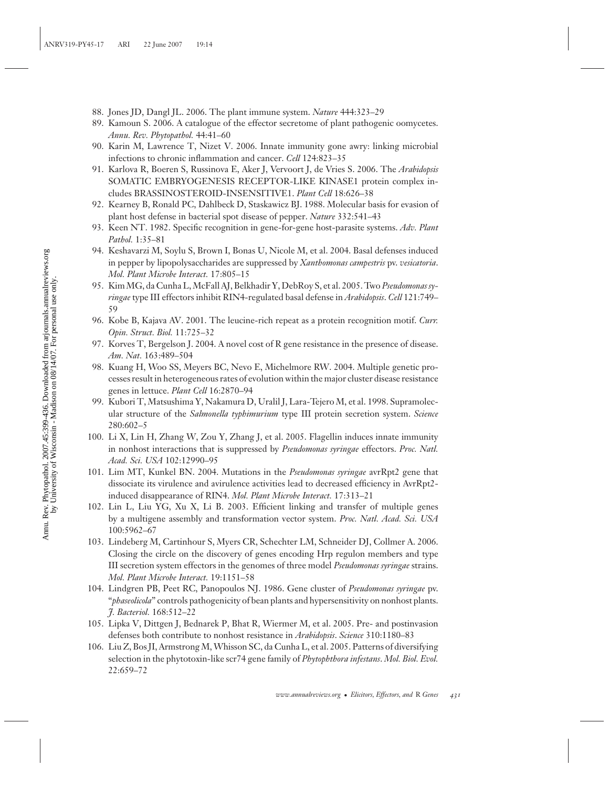- 88. Jones JD, Dangl JL. 2006. The plant immune system. *Nature* 444:323–29
- 89. Kamoun S. 2006. A catalogue of the effector secretome of plant pathogenic oomycetes. *Annu. Rev. Phytopathol.* 44:41–60
- 90. Karin M, Lawrence T, Nizet V. 2006. Innate immunity gone awry: linking microbial infections to chronic inflammation and cancer. *Cell* 124:823–35
- 91. Karlova R, Boeren S, Russinova E, Aker J, Vervoort J, de Vries S. 2006. The *Arabidopsis* SOMATIC EMBRYOGENESIS RECEPTOR-LIKE KINASE1 protein complex includes BRASSINOSTEROID-INSENSITIVE1. *Plant Cell* 18:626–38
- 92. Kearney B, Ronald PC, Dahlbeck D, Staskawicz BJ. 1988. Molecular basis for evasion of plant host defense in bacterial spot disease of pepper. *Nature* 332:541–43
- 93. Keen NT. 1982. Specific recognition in gene-for-gene host-parasite systems. *Adv. Plant Pathol.* 1:35–81
- 94. Keshavarzi M, Soylu S, Brown I, Bonas U, Nicole M, et al. 2004. Basal defenses induced in pepper by lipopolysaccharides are suppressed by *Xanthomonas campestris* pv. *vesicatoria*. *Mol. Plant Microbe Interact.* 17:805–15
- 95. Kim MG, da Cunha L, McFall AJ, Belkhadir Y, DebRoy S, et al. 2005. Two *Pseudomonas syringae* type III effectors inhibit RIN4-regulated basal defense in *Arabidopsis*. *Cell* 121:749– 59
- 96. Kobe B, Kajava AV. 2001. The leucine-rich repeat as a protein recognition motif. *Curr. Opin. Struct. Biol.* 11:725–32
- 97. Korves T, Bergelson J. 2004. A novel cost of R gene resistance in the presence of disease. *Am. Nat.* 163:489–504
- 98. Kuang H, Woo SS, Meyers BC, Nevo E, Michelmore RW. 2004. Multiple genetic processes result in heterogeneous rates of evolution within the major cluster disease resistance genes in lettuce. *Plant Cell* 16:2870–94
- 99. Kubori T, Matsushima Y, Nakamura D, Uralil J, Lara-Tejero M, et al. 1998. Supramolecular structure of the *Salmonella typhimurium* type III protein secretion system. *Science* 280:602–5
- 100. Li X, Lin H, Zhang W, Zou Y, Zhang J, et al. 2005. Flagellin induces innate immunity in nonhost interactions that is suppressed by *Pseudomonas syringae* effectors. *Proc. Natl. Acad. Sci. USA* 102:12990–95
- 101. Lim MT, Kunkel BN. 2004. Mutations in the *Pseudomonas syringae* avrRpt2 gene that dissociate its virulence and avirulence activities lead to decreased efficiency in AvrRpt2 induced disappearance of RIN4. *Mol. Plant Microbe Interact.* 17:313–21
- 102. Lin L, Liu YG, Xu X, Li B. 2003. Efficient linking and transfer of multiple genes by a multigene assembly and transformation vector system. *Proc. Natl. Acad. Sci. USA* 100:5962–67
- 103. Lindeberg M, Cartinhour S, Myers CR, Schechter LM, Schneider DJ, Collmer A. 2006. Closing the circle on the discovery of genes encoding Hrp regulon members and type III secretion system effectors in the genomes of three model *Pseudomonas syringae* strains. *Mol. Plant Microbe Interact.* 19:1151–58
- 104. Lindgren PB, Peet RC, Panopoulos NJ. 1986. Gene cluster of *Pseudomonas syringae* pv. "*phaseolicola*" controls pathogenicity of bean plants and hypersensitivity on nonhost plants. *J. Bacteriol.* 168:512–22
- 105. Lipka V, Dittgen J, Bednarek P, Bhat R, Wiermer M, et al. 2005. Pre- and postinvasion defenses both contribute to nonhost resistance in *Arabidopsis*. *Science* 310:1180–83
- 106. Liu Z, Bos JI, Armstrong M, Whisson SC, da Cunha L, et al. 2005. Patterns of diversifying selection in the phytotoxin-like scr74 gene family of *Phytophthora infestans*. *Mol. Biol. Evol.* 22:659–72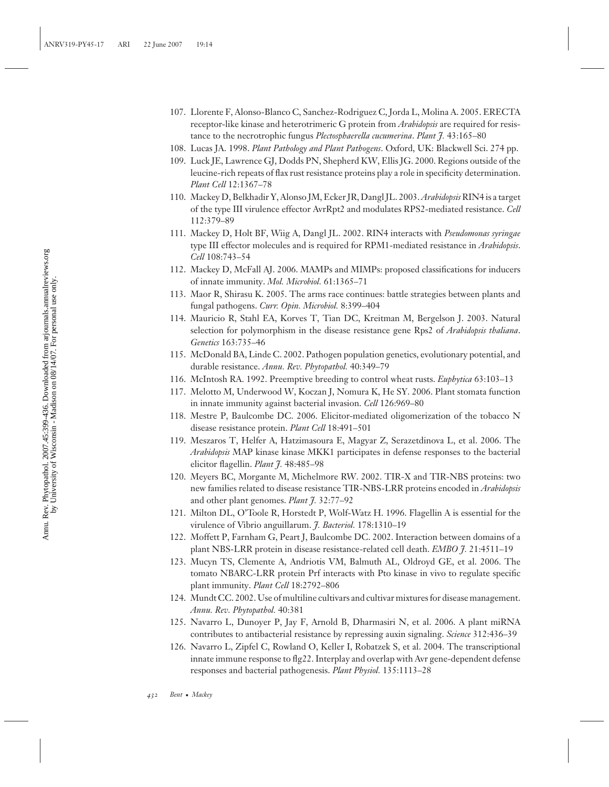- 107. Llorente F, Alonso-Blanco C, Sanchez-Rodriguez C, Jorda L, Molina A. 2005. ERECTA receptor-like kinase and heterotrimeric G protein from *Arabidopsis* are required for resistance to the necrotrophic fungus *Plectosphaerella cucumerina*. *Plant J.* 43:165–80
- 108. Lucas JA. 1998. *Plant Pathology and Plant Pathogens*. Oxford, UK: Blackwell Sci. 274 pp.
- 109. Luck JE, Lawrence GJ, Dodds PN, Shepherd KW, Ellis JG. 2000. Regions outside of the leucine-rich repeats of flax rust resistance proteins play a role in specificity determination. *Plant Cell* 12:1367–78
- 110. Mackey D, Belkhadir Y, Alonso JM, Ecker JR, Dangl JL. 2003.*Arabidopsis* RIN4 is a target of the type III virulence effector AvrRpt2 and modulates RPS2-mediated resistance. *Cell* 112:379–89
- 111. Mackey D, Holt BF, Wiig A, Dangl JL. 2002. RIN4 interacts with *Pseudomonas syringae* type III effector molecules and is required for RPM1-mediated resistance in *Arabidopsis*. *Cell* 108:743–54
- 112. Mackey D, McFall AJ. 2006. MAMPs and MIMPs: proposed classifications for inducers of innate immunity. *Mol. Microbiol.* 61:1365–71
- 113. Maor R, Shirasu K. 2005. The arms race continues: battle strategies between plants and fungal pathogens. *Curr. Opin. Microbiol.* 8:399–404
- 114. Mauricio R, Stahl EA, Korves T, Tian DC, Kreitman M, Bergelson J. 2003. Natural selection for polymorphism in the disease resistance gene Rps2 of *Arabidopsis thaliana*. *Genetics* 163:735–46
- 115. McDonald BA, Linde C. 2002. Pathogen population genetics, evolutionary potential, and durable resistance. *Annu. Rev. Phytopathol.* 40:349–79
- 116. McIntosh RA. 1992. Preemptive breeding to control wheat rusts. *Euphytica* 63:103–13
- 117. Melotto M, Underwood W, Koczan J, Nomura K, He SY. 2006. Plant stomata function in innate immunity against bacterial invasion. *Cell* 126:969–80
- 118. Mestre P, Baulcombe DC. 2006. Elicitor-mediated oligomerization of the tobacco N disease resistance protein. *Plant Cell* 18:491–501
- 119. Meszaros T, Helfer A, Hatzimasoura E, Magyar Z, Serazetdinova L, et al. 2006. The *Arabidopsis* MAP kinase kinase MKK1 participates in defense responses to the bacterial elicitor flagellin. *Plant J.* 48:485–98
- 120. Meyers BC, Morgante M, Michelmore RW. 2002. TIR-X and TIR-NBS proteins: two new families related to disease resistance TIR-NBS-LRR proteins encoded in *Arabidopsis* and other plant genomes. *Plant J.* 32:77–92
- 121. Milton DL, O'Toole R, Horstedt P, Wolf-Watz H. 1996. Flagellin A is essential for the virulence of Vibrio anguillarum. *J. Bacteriol.* 178:1310–19
- 122. Moffett P, Farnham G, Peart J, Baulcombe DC. 2002. Interaction between domains of a plant NBS-LRR protein in disease resistance-related cell death. *EMBO J.* 21:4511–19
- 123. Mucyn TS, Clemente A, Andriotis VM, Balmuth AL, Oldroyd GE, et al. 2006. The tomato NBARC-LRR protein Prf interacts with Pto kinase in vivo to regulate specific plant immunity. *Plant Cell* 18:2792–806
- 124. Mundt CC. 2002. Use of multiline cultivars and cultivar mixtures for disease management. *Annu. Rev. Phytopathol.* 40:381
- 125. Navarro L, Dunoyer P, Jay F, Arnold B, Dharmasiri N, et al. 2006. A plant miRNA contributes to antibacterial resistance by repressing auxin signaling. *Science* 312:436–39
- 126. Navarro L, Zipfel C, Rowland O, Keller I, Robatzek S, et al. 2004. The transcriptional innate immune response to flg22. Interplay and overlap with Avr gene-dependent defense responses and bacterial pathogenesis. *Plant Physiol.* 135:1113–28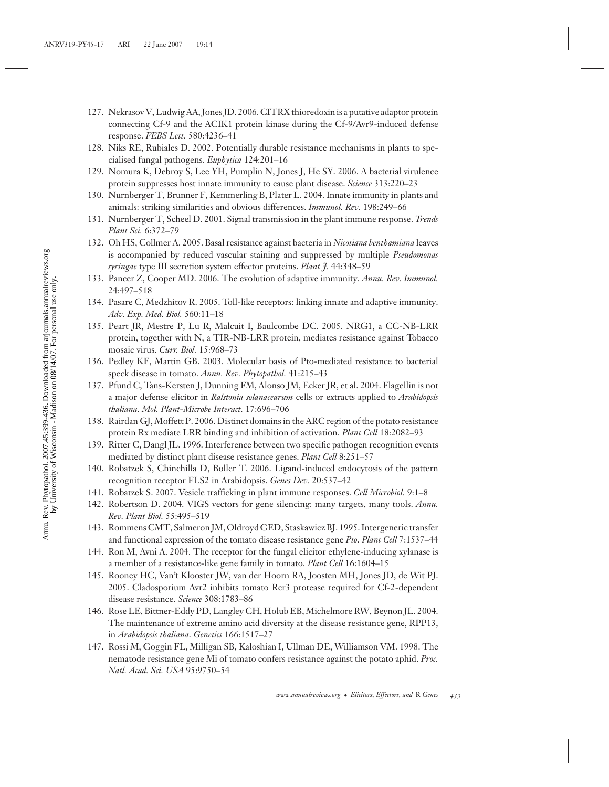- 127. Nekrasov V, Ludwig AA, Jones JD. 2006. CITRX thioredoxin is a putative adaptor protein connecting Cf-9 and the ACIK1 protein kinase during the Cf-9/Avr9-induced defense response. *FEBS Lett.* 580:4236–41
- 128. Niks RE, Rubiales D. 2002. Potentially durable resistance mechanisms in plants to specialised fungal pathogens. *Euphytica* 124:201–16
- 129. Nomura K, Debroy S, Lee YH, Pumplin N, Jones J, He SY. 2006. A bacterial virulence protein suppresses host innate immunity to cause plant disease. *Science* 313:220–23
- 130. Nurnberger T, Brunner F, Kemmerling B, Plater L. 2004. Innate immunity in plants and animals: striking similarities and obvious differences. *Immunol. Rev.* 198:249–66
- 131. Nurnberger T, Scheel D. 2001. Signal transmission in the plant immune response. *Trends Plant Sci.* 6:372–79
- 132. Oh HS, Collmer A. 2005. Basal resistance against bacteria in *Nicotiana benthamiana* leaves is accompanied by reduced vascular staining and suppressed by multiple *Pseudomonas syringae* type III secretion system effector proteins. *Plant J.* 44:348–59
- 133. Pancer Z, Cooper MD. 2006. The evolution of adaptive immunity. *Annu. Rev. Immunol.* 24:497–518
- 134. Pasare C, Medzhitov R. 2005. Toll-like receptors: linking innate and adaptive immunity. *Adv. Exp. Med. Biol.* 560:11–18
- 135. Peart JR, Mestre P, Lu R, Malcuit I, Baulcombe DC. 2005. NRG1, a CC-NB-LRR protein, together with N, a TIR-NB-LRR protein, mediates resistance against Tobacco mosaic virus. *Curr. Biol.* 15:968–73
- 136. Pedley KF, Martin GB. 2003. Molecular basis of Pto-mediated resistance to bacterial speck disease in tomato. *Annu. Rev. Phytopathol.* 41:215–43
- 137. Pfund C, Tans-Kersten J, Dunning FM, Alonso JM, Ecker JR, et al. 2004. Flagellin is not a major defense elicitor in *Ralstonia solanacearum* cells or extracts applied to *Arabidopsis thaliana*. *Mol. Plant-Microbe Interact.* 17:696–706
- 138. Rairdan GJ, Moffett P. 2006. Distinct domains in the ARC region of the potato resistance protein Rx mediate LRR binding and inhibition of activation. *Plant Cell* 18:2082–93
- 139. Ritter C, Dangl JL. 1996. Interference between two specific pathogen recognition events mediated by distinct plant disease resistance genes. *Plant Cell* 8:251–57
- 140. Robatzek S, Chinchilla D, Boller T. 2006. Ligand-induced endocytosis of the pattern recognition receptor FLS2 in Arabidopsis. *Genes Dev.* 20:537–42
- 141. Robatzek S. 2007. Vesicle trafficking in plant immune responses. *Cell Microbiol.* 9:1–8
- 142. Robertson D. 2004. VIGS vectors for gene silencing: many targets, many tools. *Annu. Rev. Plant Biol.* 55:495–519
- 143. Rommens CMT, Salmeron JM, Oldroyd GED, Staskawicz BJ. 1995. Intergeneric transfer and functional expression of the tomato disease resistance gene *Pto*. *Plant Cell* 7:1537–44
- 144. Ron M, Avni A. 2004. The receptor for the fungal elicitor ethylene-inducing xylanase is a member of a resistance-like gene family in tomato. *Plant Cell* 16:1604–15
- 145. Rooney HC, Van't Klooster JW, van der Hoorn RA, Joosten MH, Jones JD, de Wit PJ. 2005. Cladosporium Avr2 inhibits tomato Rcr3 protease required for Cf-2-dependent disease resistance. *Science* 308:1783–86
- 146. Rose LE, Bittner-Eddy PD, Langley CH, Holub EB, Michelmore RW, Beynon JL. 2004. The maintenance of extreme amino acid diversity at the disease resistance gene, RPP13, in *Arabidopsis thaliana*. *Genetics* 166:1517–27
- 147. Rossi M, Goggin FL, Milligan SB, Kaloshian I, Ullman DE, Williamson VM. 1998. The nematode resistance gene Mi of tomato confers resistance against the potato aphid. *Proc. Natl. Acad. Sci. USA* 95:9750–54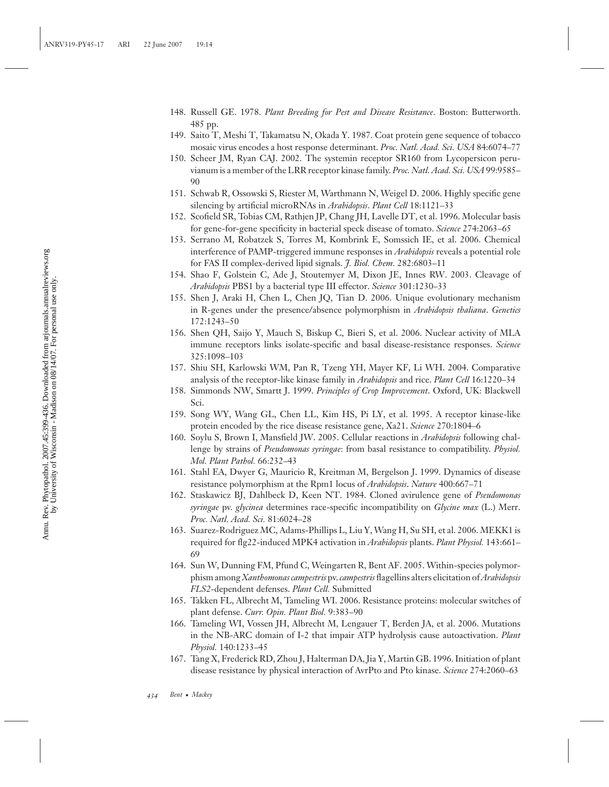- 148. Russell GE. 1978. *Plant Breeding for Pest and Disease Resistance*. Boston: Butterworth. 485 pp.
- 149. Saito T, Meshi T, Takamatsu N, Okada Y. 1987. Coat protein gene sequence of tobacco mosaic virus encodes a host response determinant. *Proc. Natl. Acad. Sci. USA* 84:6074–77
- 150. Scheer JM, Ryan CAJ. 2002. The systemin receptor SR160 from Lycopersicon peruvianum is a member of the LRR receptor kinase family. *Proc. Natl. Acad. Sci. USA*99:9585– 90
- 151. Schwab R, Ossowski S, Riester M, Warthmann N, Weigel D. 2006. Highly specific gene silencing by artificial microRNAs in *Arabidopsis*. *Plant Cell* 18:1121–33
- 152. Scofield SR, Tobias CM, Rathjen JP, Chang JH, Lavelle DT, et al. 1996. Molecular basis for gene-for-gene specificity in bacterial speck disease of tomato. *Science* 274:2063–65
- 153. Serrano M, Robatzek S, Torres M, Kombrink E, Somssich IE, et al. 2006. Chemical interference of PAMP-triggered immune responses in *Arabidopsis* reveals a potential role for FAS II complex-derived lipid signals. *J. Biol. Chem.* 282:6803–11
- 154. Shao F, Golstein C, Ade J, Stoutemyer M, Dixon JE, Innes RW. 2003. Cleavage of *Arabidopsis* PBS1 by a bacterial type III effector. *Science* 301:1230–33
- 155. Shen J, Araki H, Chen L, Chen JQ, Tian D. 2006. Unique evolutionary mechanism in R-genes under the presence/absence polymorphism in *Arabidopsis thaliana*. *Genetics* 172:1243–50
- 156. Shen QH, Saijo Y, Mauch S, Biskup C, Bieri S, et al. 2006. Nuclear activity of MLA immune receptors links isolate-specific and basal disease-resistance responses. *Science* 325:1098–103
- 157. Shiu SH, Karlowski WM, Pan R, Tzeng YH, Mayer KF, Li WH. 2004. Comparative analysis of the receptor-like kinase family in *Arabidopsis* and rice. *Plant Cell* 16:1220–34
- 158. Simmonds NW, Smartt J. 1999. *Principles of Crop Improvement*. Oxford, UK: Blackwell Sci.
- 159. Song WY, Wang GL, Chen LL, Kim HS, Pi LY, et al. 1995. A receptor kinase-like protein encoded by the rice disease resistance gene, Xa21. *Science* 270:1804–6
- 160. Soylu S, Brown I, Mansfield JW. 2005. Cellular reactions in *Arabidopsis* following challenge by strains of *Pseudomonas syringae*: from basal resistance to compatibility. *Physiol. Mol. Plant Pathol.* 66:232–43
- 161. Stahl EA, Dwyer G, Mauricio R, Kreitman M, Bergelson J. 1999. Dynamics of disease resistance polymorphism at the Rpm1 locus of *Arabidopsis*. *Nature* 400:667–71
- 162. Staskawicz BJ, Dahlbeck D, Keen NT. 1984. Cloned avirulence gene of *Pseudomonas syringae* pv. *glycinea* determines race-specific incompatibility on *Glycine max* (L.) Merr. *Proc. Natl. Acad. Sci.* 81:6024–28
- 163. Suarez-Rodriguez MC, Adams-Phillips L, Liu Y, Wang H, Su SH, et al. 2006. MEKK1 is required for flg22-induced MPK4 activation in *Arabidopsis* plants. *Plant Physiol.* 143:661– 69
- 164. Sun W, Dunning FM, Pfund C, Weingarten R, Bent AF. 2005. Within-species polymorphism among *Xanthomonas campestris* pv. *campestris* flagellins alters elicitation of*Arabidopsis FLS2*-dependent defenses. *Plant Cell.* Submitted
- 165. Takken FL, Albrecht M, Tameling WI. 2006. Resistance proteins: molecular switches of plant defense. *Curr. Opin. Plant Biol.* 9:383–90
- 166. Tameling WI, Vossen JH, Albrecht M, Lengauer T, Berden JA, et al. 2006. Mutations in the NB-ARC domain of I-2 that impair ATP hydrolysis cause autoactivation. *Plant Physiol.* 140:1233–45
- 167. Tang X, Frederick RD, Zhou J, Halterman DA, Jia Y, Martin GB. 1996. Initiation of plant disease resistance by physical interaction of AvrPto and Pto kinase. *Science* 274:2060–63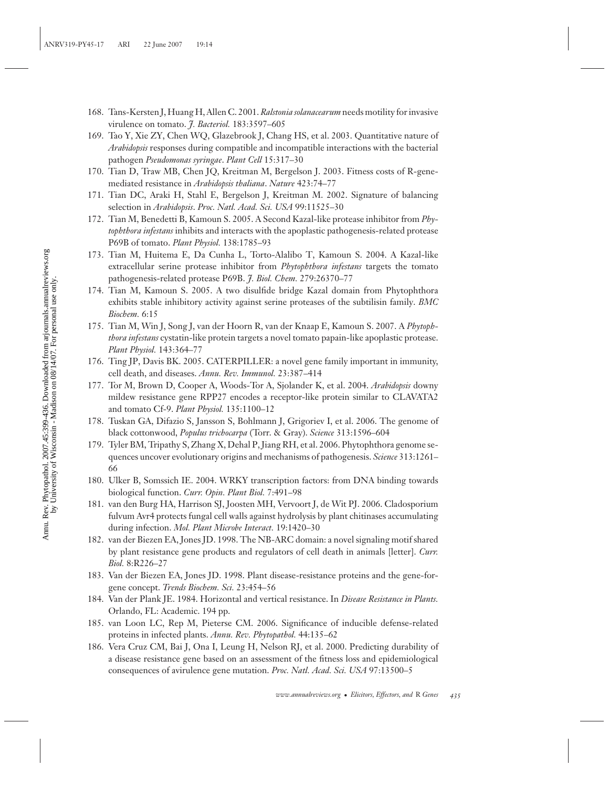- 168. Tans-Kersten J, Huang H, Allen C. 2001.*Ralstonia solanacearum* needs motility for invasive virulence on tomato. *J. Bacteriol.* 183:3597–605
- 169. Tao Y, Xie ZY, Chen WQ, Glazebrook J, Chang HS, et al. 2003. Quantitative nature of *Arabidopsis* responses during compatible and incompatible interactions with the bacterial pathogen *Pseudomonas syringae*. *Plant Cell* 15:317–30
- 170. Tian D, Traw MB, Chen JQ, Kreitman M, Bergelson J. 2003. Fitness costs of R-genemediated resistance in *Arabidopsis thaliana*. *Nature* 423:74–77
- 171. Tian DC, Araki H, Stahl E, Bergelson J, Kreitman M. 2002. Signature of balancing selection in *Arabidopsis*. *Proc. Natl. Acad. Sci. USA* 99:11525–30
- 172. Tian M, Benedetti B, Kamoun S. 2005. A Second Kazal-like protease inhibitor from *Phytophthora infestans* inhibits and interacts with the apoplastic pathogenesis-related protease P69B of tomato. *Plant Physiol.* 138:1785–93
- 173. Tian M, Huitema E, Da Cunha L, Torto-Alalibo T, Kamoun S. 2004. A Kazal-like extracellular serine protease inhibitor from *Phytophthora infestans* targets the tomato pathogenesis-related protease P69B. *J. Biol. Chem.* 279:26370–77
- 174. Tian M, Kamoun S. 2005. A two disulfide bridge Kazal domain from Phytophthora exhibits stable inhibitory activity against serine proteases of the subtilisin family. *BMC Biochem.* 6:15
- 175. Tian M, Win J, Song J, van der Hoorn R, van der Knaap E, Kamoun S. 2007. A *Phytophthora infestans* cystatin-like protein targets a novel tomato papain-like apoplastic protease. *Plant Physiol.* 143:364–77
- 176. Ting JP, Davis BK. 2005. CATERPILLER: a novel gene family important in immunity, cell death, and diseases. *Annu. Rev. Immunol.* 23:387–414
- 177. Tor M, Brown D, Cooper A, Woods-Tor A, Sjolander K, et al. 2004. *Arabidopsis* downy mildew resistance gene RPP27 encodes a receptor-like protein similar to CLAVATA2 and tomato Cf-9. *Plant Physiol.* 135:1100–12
- 178. Tuskan GA, Difazio S, Jansson S, Bohlmann J, Grigoriev I, et al. 2006. The genome of black cottonwood, *Populus trichocarpa* (Torr. & Gray). *Science* 313:1596–604
- 179. Tyler BM, Tripathy S, Zhang X, Dehal P, Jiang RH, et al. 2006. Phytophthora genome sequences uncover evolutionary origins and mechanisms of pathogenesis. *Science* 313:1261– 66
- 180. Ulker B, Somssich IE. 2004. WRKY transcription factors: from DNA binding towards biological function. *Curr. Opin. Plant Biol.* 7:491–98
- 181. van den Burg HA, Harrison SJ, Joosten MH, Vervoort J, de Wit PJ. 2006. Cladosporium fulvum Avr4 protects fungal cell walls against hydrolysis by plant chitinases accumulating during infection. *Mol. Plant Microbe Interact.* 19:1420–30
- 182. van der Biezen EA, Jones JD. 1998. The NB-ARC domain: a novel signaling motif shared by plant resistance gene products and regulators of cell death in animals [letter]. *Curr. Biol.* 8:R226–27
- 183. Van der Biezen EA, Jones JD. 1998. Plant disease-resistance proteins and the gene-forgene concept. *Trends Biochem. Sci.* 23:454–56
- 184. Van der Plank JE. 1984. Horizontal and vertical resistance. In *Disease Resistance in Plants.* Orlando, FL: Academic. 194 pp.
- 185. van Loon LC, Rep M, Pieterse CM. 2006. Significance of inducible defense-related proteins in infected plants. *Annu. Rev. Phytopathol.* 44:135–62
- 186. Vera Cruz CM, Bai J, Ona I, Leung H, Nelson RJ, et al. 2000. Predicting durability of a disease resistance gene based on an assessment of the fitness loss and epidemiological consequences of avirulence gene mutation. *Proc. Natl. Acad. Sci. USA* 97:13500–5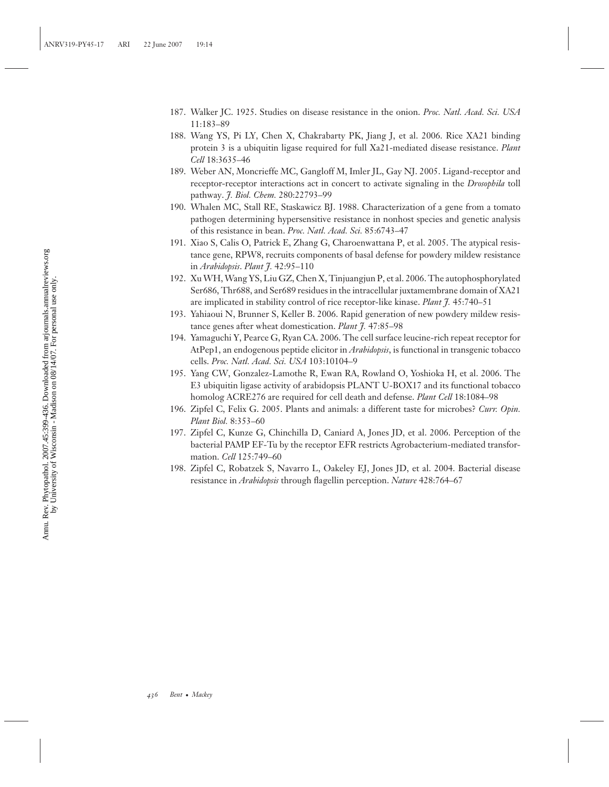- 187. Walker JC. 1925. Studies on disease resistance in the onion. *Proc. Natl. Acad. Sci. USA* 11:183–89
- 188. Wang YS, Pi LY, Chen X, Chakrabarty PK, Jiang J, et al. 2006. Rice XA21 binding protein 3 is a ubiquitin ligase required for full Xa21-mediated disease resistance. *Plant Cell* 18:3635–46
- 189. Weber AN, Moncrieffe MC, Gangloff M, Imler JL, Gay NJ. 2005. Ligand-receptor and receptor-receptor interactions act in concert to activate signaling in the *Drosophila* toll pathway. *J. Biol. Chem.* 280:22793–99
- 190. Whalen MC, Stall RE, Staskawicz BJ. 1988. Characterization of a gene from a tomato pathogen determining hypersensitive resistance in nonhost species and genetic analysis of this resistance in bean. *Proc. Natl. Acad. Sci.* 85:6743–47
- 191. Xiao S, Calis O, Patrick E, Zhang G, Charoenwattana P, et al. 2005. The atypical resistance gene, RPW8, recruits components of basal defense for powdery mildew resistance in *Arabidopsis*. *Plant J.* 42:95–110
- 192. Xu WH, Wang YS, Liu GZ, Chen X, Tinjuangjun P, et al. 2006. The autophosphorylated Ser686, Thr688, and Ser689 residues in the intracellular juxtamembrane domain of XA21 are implicated in stability control of rice receptor-like kinase. *Plant J.* 45:740–51
- 193. Yahiaoui N, Brunner S, Keller B. 2006. Rapid generation of new powdery mildew resistance genes after wheat domestication. *Plant J.* 47:85–98
- 194. Yamaguchi Y, Pearce G, Ryan CA. 2006. The cell surface leucine-rich repeat receptor for AtPep1, an endogenous peptide elicitor in *Arabidopsis*, is functional in transgenic tobacco cells. *Proc. Natl. Acad. Sci. USA* 103:10104–9
- 195. Yang CW, Gonzalez-Lamothe R, Ewan RA, Rowland O, Yoshioka H, et al. 2006. The E3 ubiquitin ligase activity of arabidopsis PLANT U-BOX17 and its functional tobacco homolog ACRE276 are required for cell death and defense. *Plant Cell* 18:1084–98
- 196. Zipfel C, Felix G. 2005. Plants and animals: a different taste for microbes? *Curr. Opin. Plant Biol.* 8:353–60
- 197. Zipfel C, Kunze G, Chinchilla D, Caniard A, Jones JD, et al. 2006. Perception of the bacterial PAMP EF-Tu by the receptor EFR restricts Agrobacterium-mediated transformation. *Cell* 125:749–60
- 198. Zipfel C, Robatzek S, Navarro L, Oakeley EJ, Jones JD, et al. 2004. Bacterial disease resistance in *Arabidopsis* through flagellin perception. *Nature* 428:764–67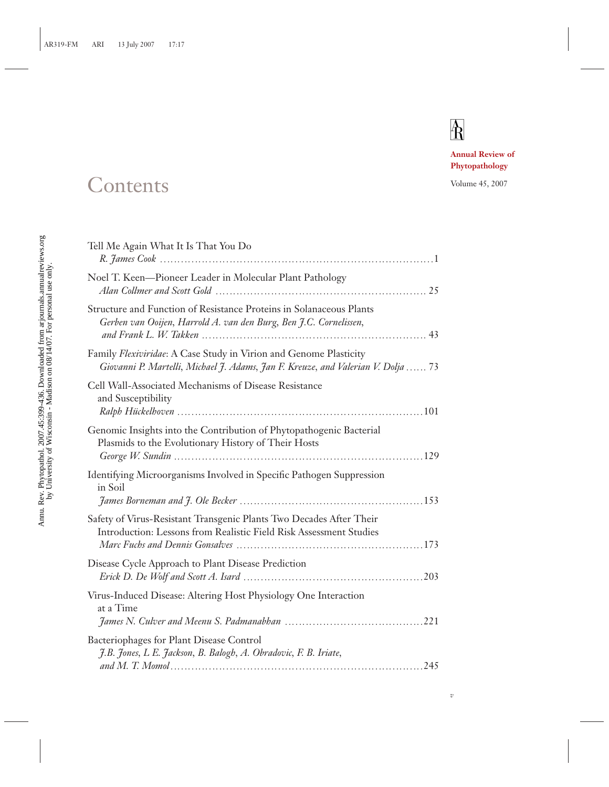# $\overline{R}$

*v*

**Annual Review of Phytopathology**

## Contents Volume 45, 2007

| Tell Me Again What It Is That You Do                                                                                                                  |  |
|-------------------------------------------------------------------------------------------------------------------------------------------------------|--|
| Noel T. Keen-Pioneer Leader in Molecular Plant Pathology                                                                                              |  |
| Structure and Function of Resistance Proteins in Solanaceous Plants<br>Gerben van Ooijen, Harrold A. van den Burg, Ben J.C. Cornelissen,              |  |
| Family Flexiviridae: A Case Study in Virion and Genome Plasticity<br>Giovanni P. Martelli, Michael J. Adams, Jan F. Kreuze, and Valerian V. Dolja  73 |  |
| Cell Wall-Associated Mechanisms of Disease Resistance<br>and Susceptibility                                                                           |  |
| Genomic Insights into the Contribution of Phytopathogenic Bacterial<br>Plasmids to the Evolutionary History of Their Hosts                            |  |
| Identifying Microorganisms Involved in Specific Pathogen Suppression<br>in Soil                                                                       |  |
| Safety of Virus-Resistant Transgenic Plants Two Decades After Their<br>Introduction: Lessons from Realistic Field Risk Assessment Studies             |  |
| Disease Cycle Approach to Plant Disease Prediction                                                                                                    |  |
| Virus-Induced Disease: Altering Host Physiology One Interaction<br>at a Time                                                                          |  |
| Bacteriophages for Plant Disease Control<br>J.B. Jones, L.E. Jackson, B. Balogh, A. Obradovic, F. B. Iriate,                                          |  |
|                                                                                                                                                       |  |